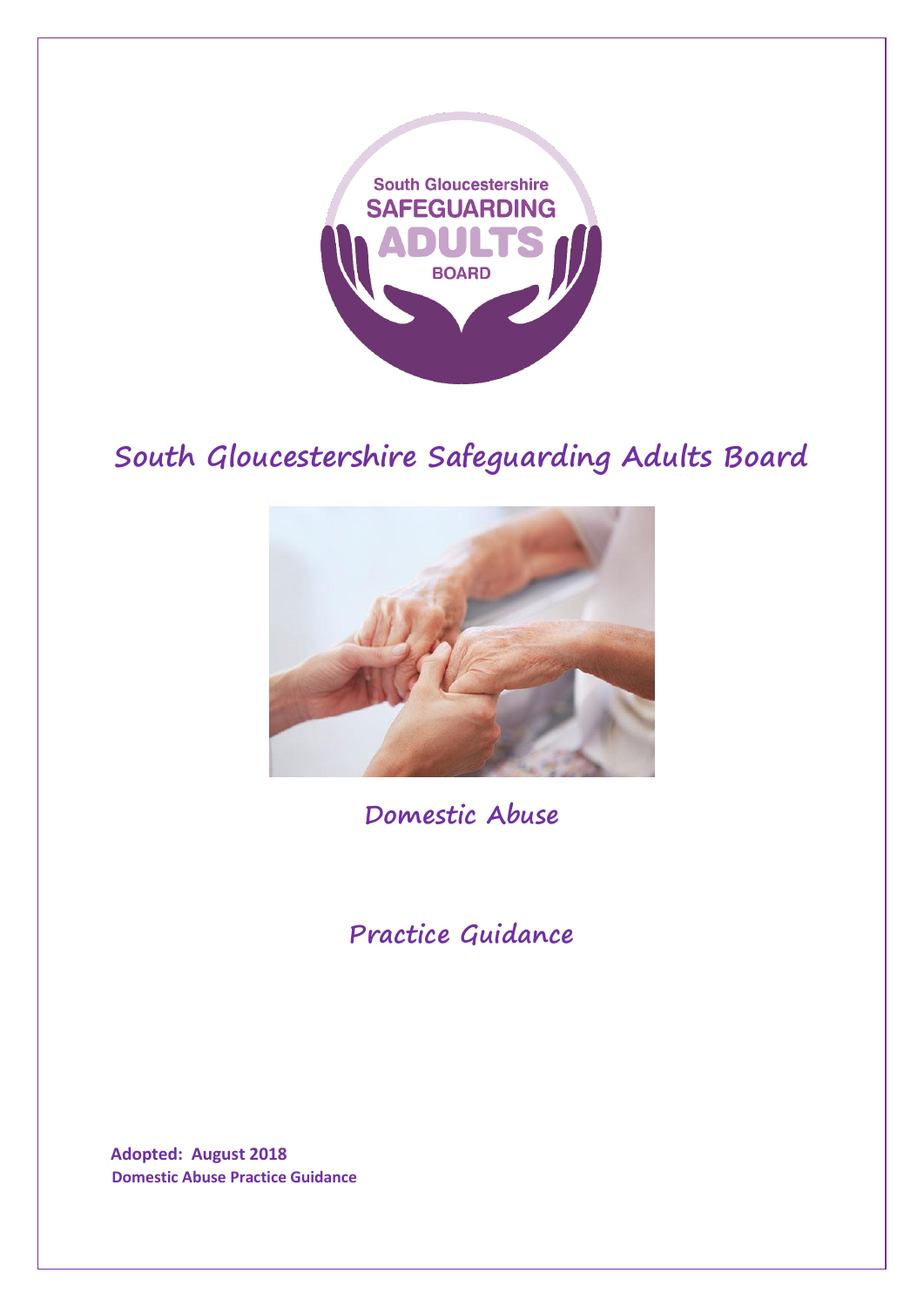

# **South Gloucestershire Safeguarding Adults Board**



**Domestic Abuse**

**Practice Guidance**

**Adopted: August 2018 Domestic Abuse Practice Guidance**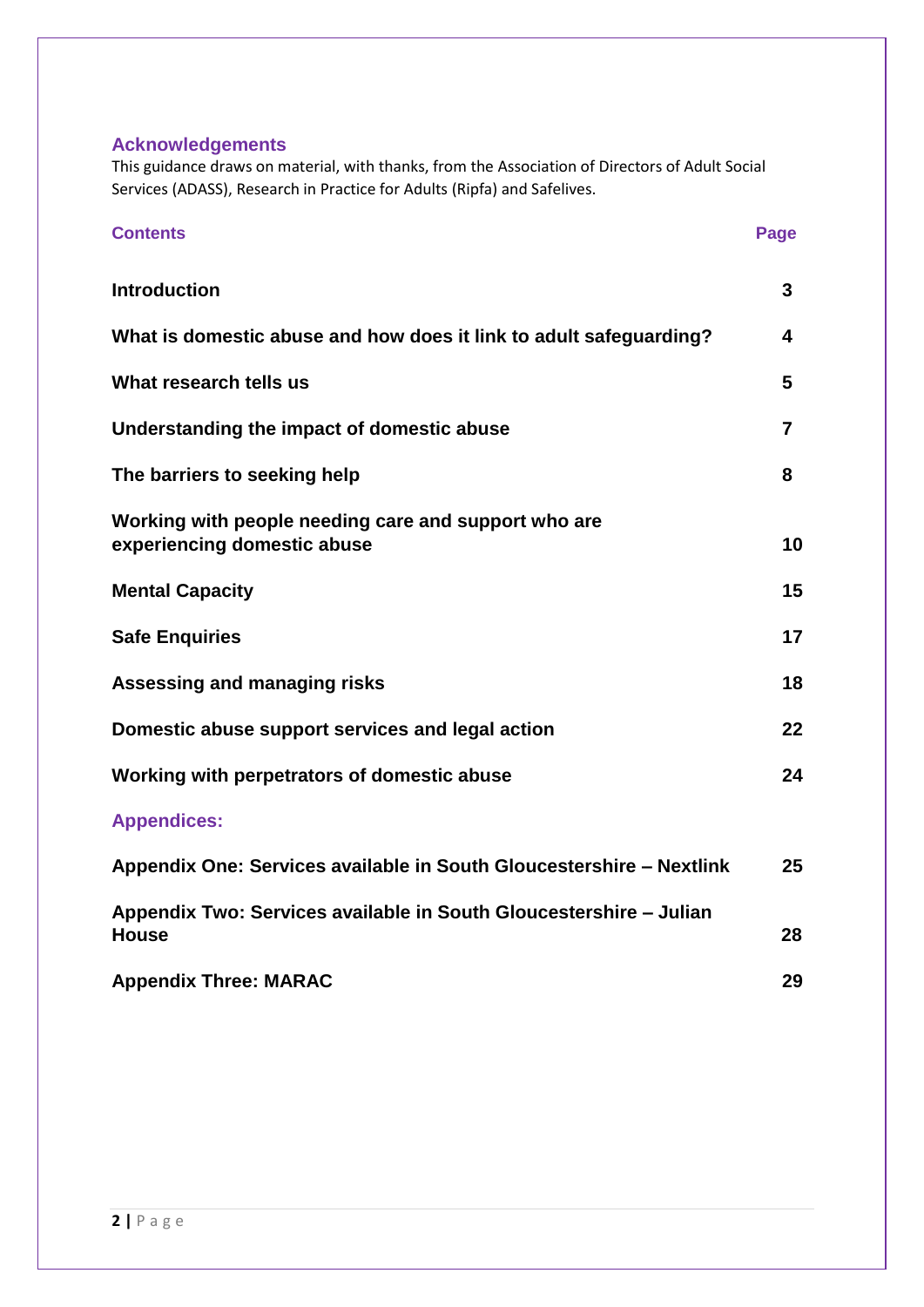#### **Acknowledgements**

This guidance draws on material, with thanks, from the Association of Directors of Adult Social Services (ADASS), Research in Practice for Adults (Ripfa) and Safelives.

| <b>Contents</b>                                                                     | Page |
|-------------------------------------------------------------------------------------|------|
| <b>Introduction</b>                                                                 | 3    |
| What is domestic abuse and how does it link to adult safeguarding?                  | 4    |
| What research tells us                                                              | 5    |
| Understanding the impact of domestic abuse                                          | 7    |
| The barriers to seeking help                                                        | 8    |
| Working with people needing care and support who are<br>experiencing domestic abuse | 10   |
| <b>Mental Capacity</b>                                                              | 15   |
| <b>Safe Enquiries</b>                                                               | 17   |
| Assessing and managing risks                                                        | 18   |
| Domestic abuse support services and legal action                                    | 22   |
| Working with perpetrators of domestic abuse                                         | 24   |
| <b>Appendices:</b>                                                                  |      |
| Appendix One: Services available in South Gloucestershire - Nextlink                | 25   |
| Appendix Two: Services available in South Gloucestershire - Julian<br><b>House</b>  | 28   |
| <b>Appendix Three: MARAC</b>                                                        | 29   |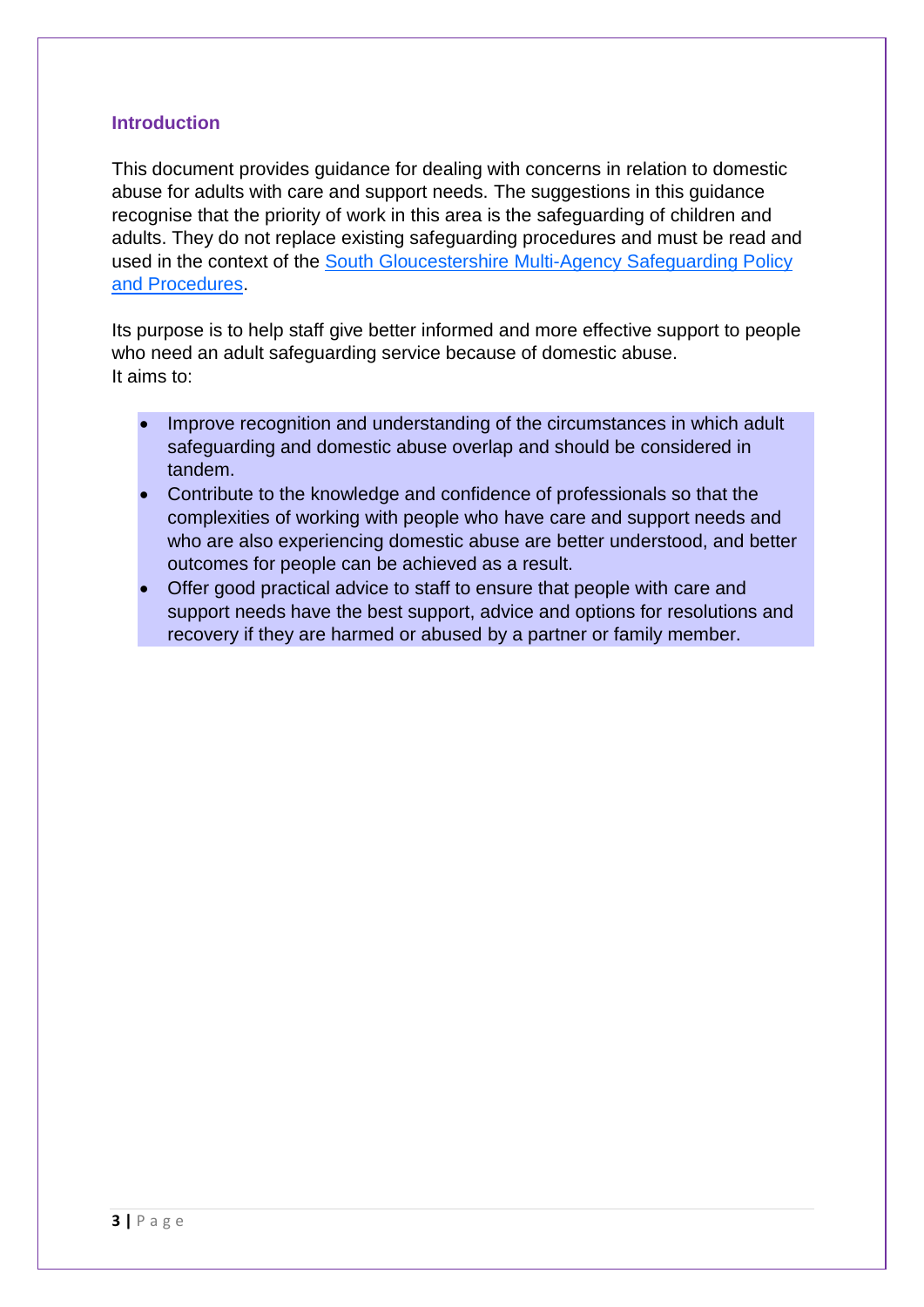#### **Introduction**

This document provides guidance for dealing with concerns in relation to domestic abuse for adults with care and support needs. The suggestions in this guidance recognise that the priority of work in this area is the safeguarding of children and adults. They do not replace existing safeguarding procedures and must be read and used in the context of the [South Gloucestershire Multi-Agency](http://sites.southglos.gov.uk/safeguarding/adults/i-work-with-adults/policies-and-procedures/) Safeguarding Policy [and Procedures.](http://sites.southglos.gov.uk/safeguarding/adults/i-work-with-adults/policies-and-procedures/)

Its purpose is to help staff give better informed and more effective support to people who need an adult safeguarding service because of domestic abuse. It aims to:

- Improve recognition and understanding of the circumstances in which adult safeguarding and domestic abuse overlap and should be considered in tandem.
- Contribute to the knowledge and confidence of professionals so that the complexities of working with people who have care and support needs and who are also experiencing domestic abuse are better understood, and better outcomes for people can be achieved as a result.
- Offer good practical advice to staff to ensure that people with care and support needs have the best support, advice and options for resolutions and recovery if they are harmed or abused by a partner or family member.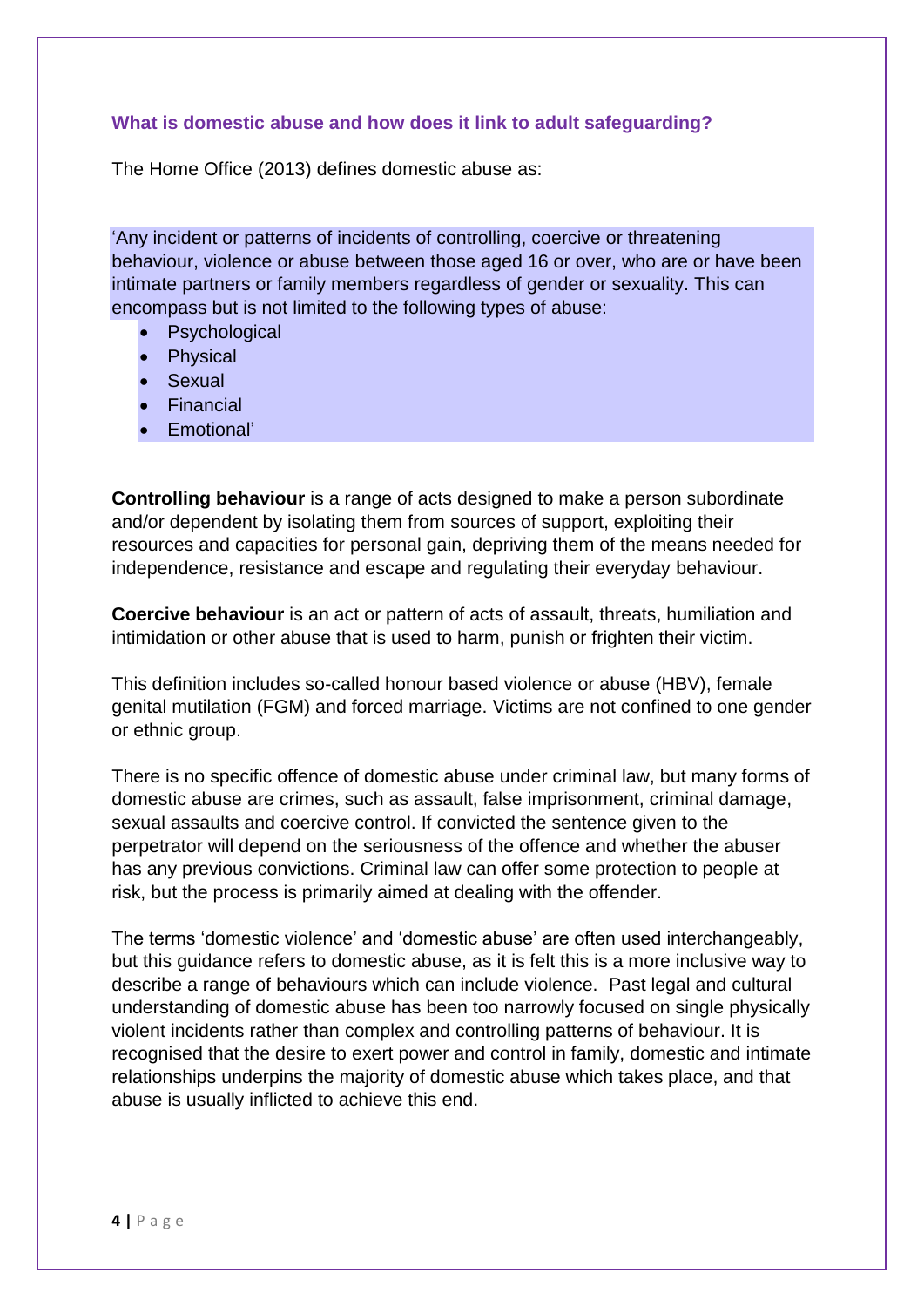# **What is domestic abuse and how does it link to adult safeguarding?**

The Home Office (2013) defines domestic abuse as:

'Any incident or patterns of incidents of controlling, coercive or threatening behaviour, violence or abuse between those aged 16 or over, who are or have been intimate partners or family members regardless of gender or sexuality. This can encompass but is not limited to the following types of abuse:

- **Psychological**
- Physical
- Sexual
- Financial
- Emotional'

**Controlling behaviour** is a range of acts designed to make a person subordinate and/or dependent by isolating them from sources of support, exploiting their resources and capacities for personal gain, depriving them of the means needed for independence, resistance and escape and regulating their everyday behaviour.

**Coercive behaviour** is an act or pattern of acts of assault, threats, humiliation and intimidation or other abuse that is used to harm, punish or frighten their victim.

This definition includes so-called honour based violence or abuse (HBV), female genital mutilation (FGM) and forced marriage. Victims are not confined to one gender or ethnic group.

There is no specific offence of domestic abuse under criminal law, but many forms of domestic abuse are crimes, such as assault, false imprisonment, criminal damage, sexual assaults and coercive control. If convicted the sentence given to the perpetrator will depend on the seriousness of the offence and whether the abuser has any previous convictions. Criminal law can offer some protection to people at risk, but the process is primarily aimed at dealing with the offender.

The terms 'domestic violence' and 'domestic abuse' are often used interchangeably, but this guidance refers to domestic abuse, as it is felt this is a more inclusive way to describe a range of behaviours which can include violence. Past legal and cultural understanding of domestic abuse has been too narrowly focused on single physically violent incidents rather than complex and controlling patterns of behaviour. It is recognised that the desire to exert power and control in family, domestic and intimate relationships underpins the majority of domestic abuse which takes place, and that abuse is usually inflicted to achieve this end.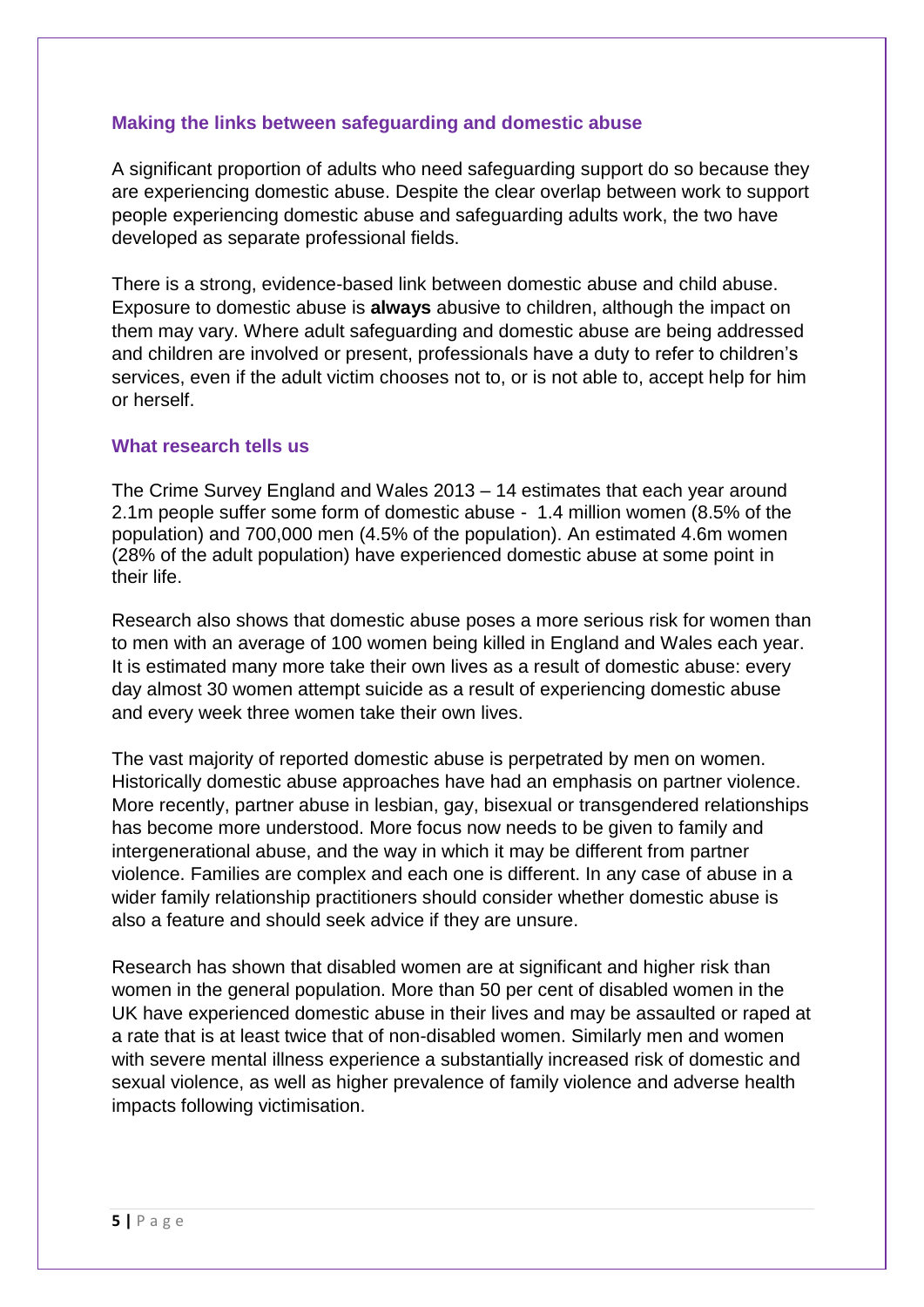#### **Making the links between safeguarding and domestic abuse**

A significant proportion of adults who need safeguarding support do so because they are experiencing domestic abuse. Despite the clear overlap between work to support people experiencing domestic abuse and safeguarding adults work, the two have developed as separate professional fields.

There is a strong, evidence-based link between domestic abuse and child abuse. Exposure to domestic abuse is **always** abusive to children, although the impact on them may vary. Where adult safeguarding and domestic abuse are being addressed and children are involved or present, professionals have a duty to refer to children's services, even if the adult victim chooses not to, or is not able to, accept help for him or herself.

#### **What research tells us**

The Crime Survey England and Wales 2013 – 14 estimates that each year around 2.1m people suffer some form of domestic abuse - 1.4 million women (8.5% of the population) and 700,000 men (4.5% of the population). An estimated 4.6m women (28% of the adult population) have experienced domestic abuse at some point in their life.

Research also shows that domestic abuse poses a more serious risk for women than to men with an average of 100 women being killed in England and Wales each year. It is estimated many more take their own lives as a result of domestic abuse: every day almost 30 women attempt suicide as a result of experiencing domestic abuse and every week three women take their own lives.

The vast majority of reported domestic abuse is perpetrated by men on women. Historically domestic abuse approaches have had an emphasis on partner violence. More recently, partner abuse in lesbian, gay, bisexual or transgendered relationships has become more understood. More focus now needs to be given to family and intergenerational abuse, and the way in which it may be different from partner violence. Families are complex and each one is different. In any case of abuse in a wider family relationship practitioners should consider whether domestic abuse is also a feature and should seek advice if they are unsure.

Research has shown that disabled women are at significant and higher risk than women in the general population. More than 50 per cent of disabled women in the UK have experienced domestic abuse in their lives and may be assaulted or raped at a rate that is at least twice that of non-disabled women. Similarly men and women with severe mental illness experience a substantially increased risk of domestic and sexual violence, as well as higher prevalence of family violence and adverse health impacts following victimisation.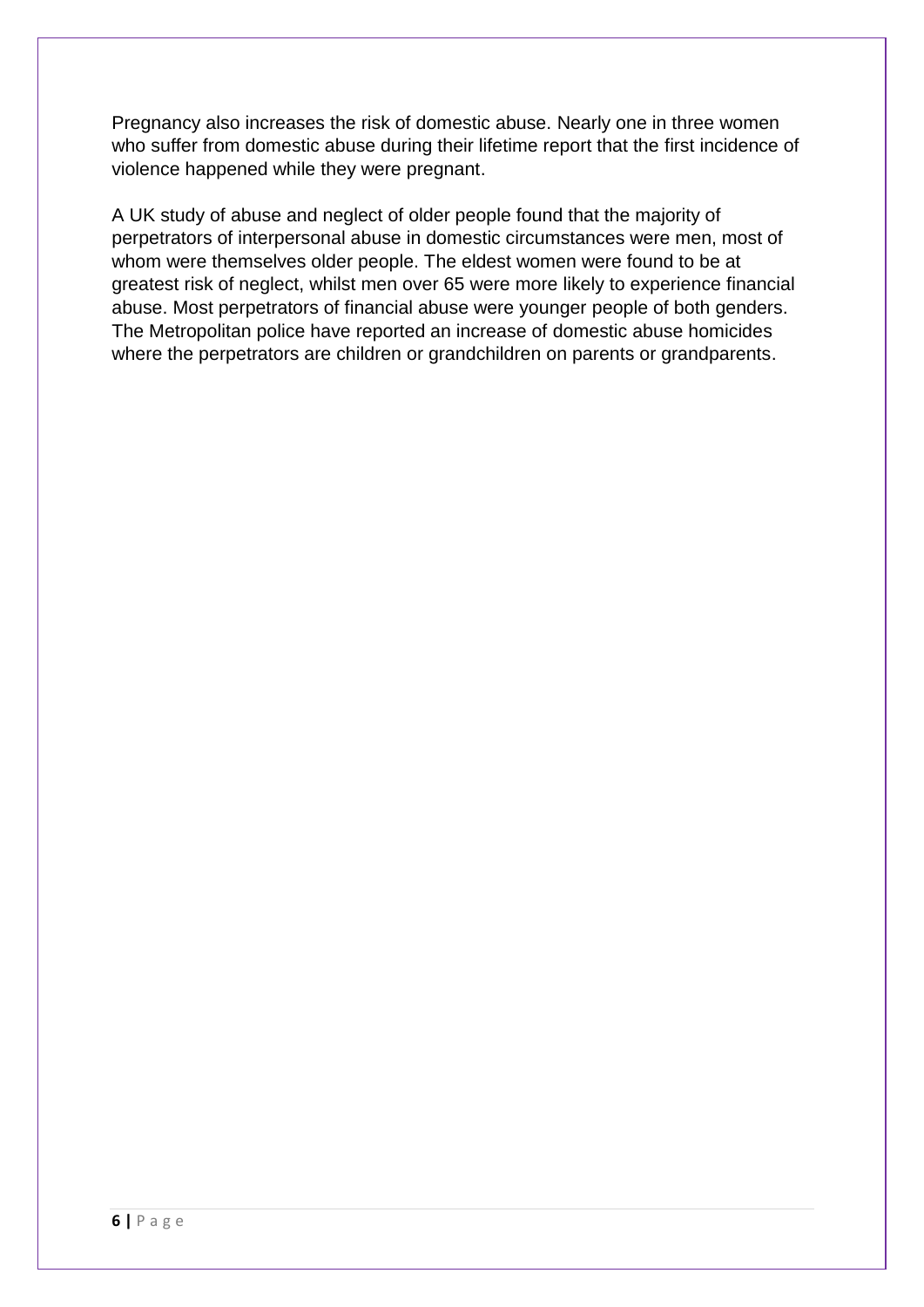Pregnancy also increases the risk of domestic abuse. Nearly one in three women who suffer from domestic abuse during their lifetime report that the first incidence of violence happened while they were pregnant.

A UK study of abuse and neglect of older people found that the majority of perpetrators of interpersonal abuse in domestic circumstances were men, most of whom were themselves older people. The eldest women were found to be at greatest risk of neglect, whilst men over 65 were more likely to experience financial abuse. Most perpetrators of financial abuse were younger people of both genders. The Metropolitan police have reported an increase of domestic abuse homicides where the perpetrators are children or grandchildren on parents or grandparents.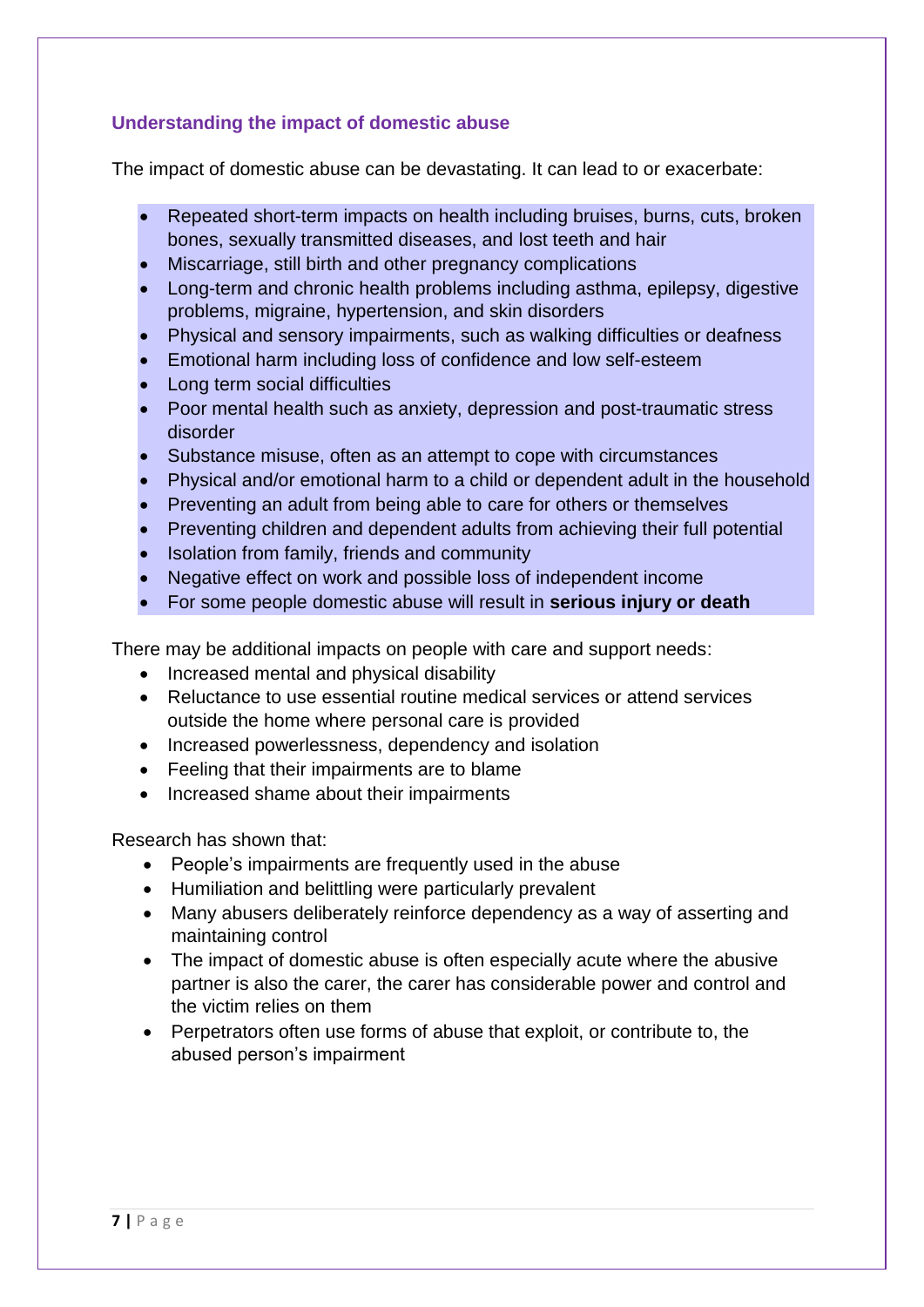# **Understanding the impact of domestic abuse**

The impact of domestic abuse can be devastating. It can lead to or exacerbate:

- Repeated short-term impacts on health including bruises, burns, cuts, broken bones, sexually transmitted diseases, and lost teeth and hair
- Miscarriage, still birth and other pregnancy complications
- Long-term and chronic health problems including asthma, epilepsy, digestive problems, migraine, hypertension, and skin disorders
- Physical and sensory impairments, such as walking difficulties or deafness
- Emotional harm including loss of confidence and low self-esteem
- **Long term social difficulties**
- Poor mental health such as anxiety, depression and post-traumatic stress disorder
- Substance misuse, often as an attempt to cope with circumstances
- Physical and/or emotional harm to a child or dependent adult in the household
- Preventing an adult from being able to care for others or themselves
- Preventing children and dependent adults from achieving their full potential
- Isolation from family, friends and community
- Negative effect on work and possible loss of independent income
- For some people domestic abuse will result in **serious injury or death**

There may be additional impacts on people with care and support needs:

- Increased mental and physical disability
- Reluctance to use essential routine medical services or attend services outside the home where personal care is provided
- Increased powerlessness, dependency and isolation
- Feeling that their impairments are to blame
- Increased shame about their impairments

Research has shown that:

- People's impairments are frequently used in the abuse
- Humiliation and belittling were particularly prevalent
- Many abusers deliberately reinforce dependency as a way of asserting and maintaining control
- The impact of domestic abuse is often especially acute where the abusive partner is also the carer, the carer has considerable power and control and the victim relies on them
- Perpetrators often use forms of abuse that exploit, or contribute to, the abused person's impairment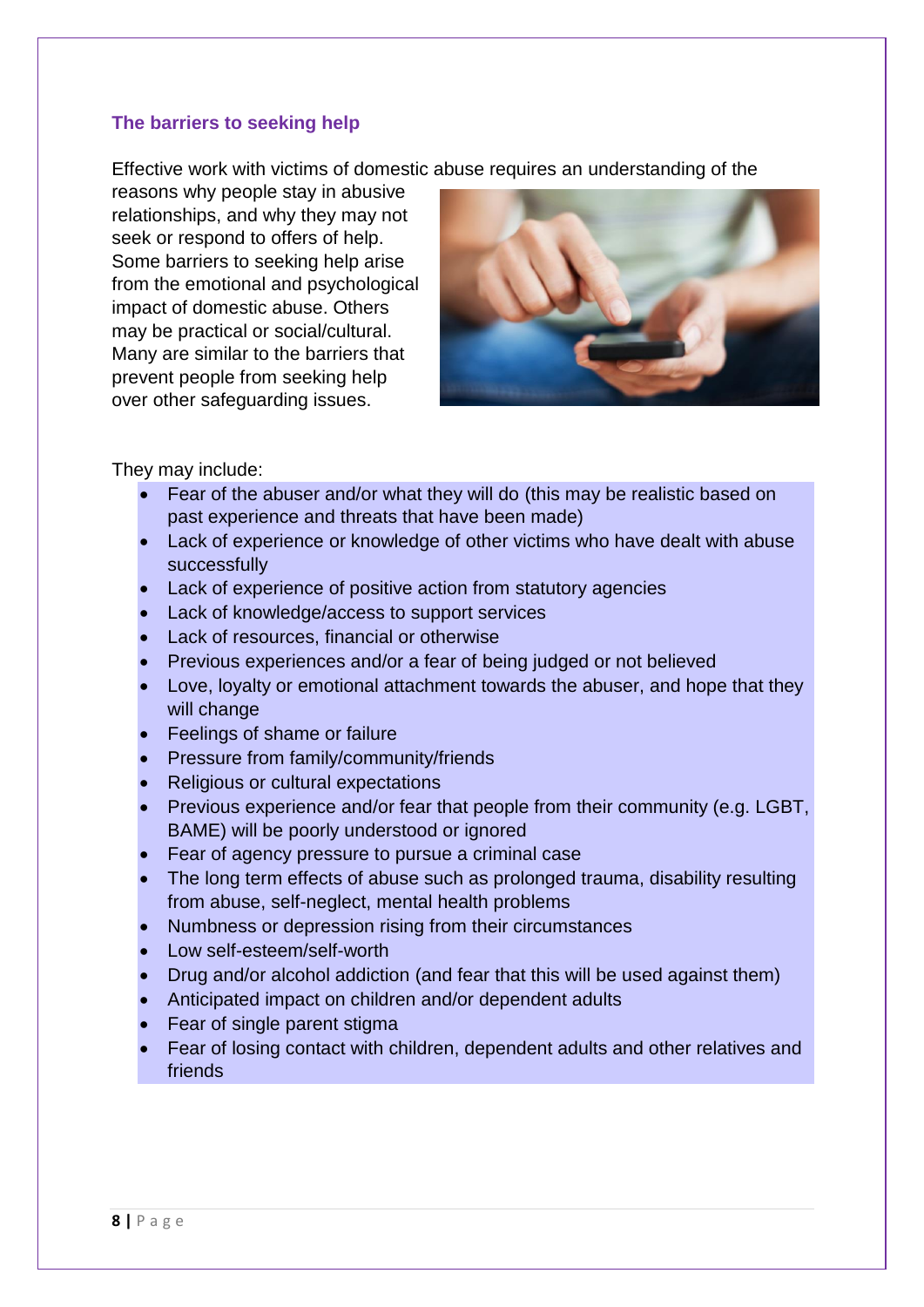# **The barriers to seeking help**

Effective work with victims of domestic abuse requires an understanding of the

reasons why people stay in abusive relationships, and why they may not seek or respond to offers of help. Some barriers to seeking help arise from the emotional and psychological impact of domestic abuse. Others may be practical or social/cultural. Many are similar to the barriers that prevent people from seeking help over other safeguarding issues.



They may include:

- Fear of the abuser and/or what they will do (this may be realistic based on past experience and threats that have been made)
- Lack of experience or knowledge of other victims who have dealt with abuse successfully
- Lack of experience of positive action from statutory agencies
- Lack of knowledge/access to support services
- Lack of resources, financial or otherwise
- Previous experiences and/or a fear of being judged or not believed
- Love, loyalty or emotional attachment towards the abuser, and hope that they will change
- **Feelings of shame or failure**
- Pressure from family/community/friends
- Religious or cultural expectations
- Previous experience and/or fear that people from their community (e.g. LGBT, BAME) will be poorly understood or ignored
- Fear of agency pressure to pursue a criminal case
- The long term effects of abuse such as prolonged trauma, disability resulting from abuse, self-neglect, mental health problems
- Numbness or depression rising from their circumstances
- Low self-esteem/self-worth
- Drug and/or alcohol addiction (and fear that this will be used against them)
- Anticipated impact on children and/or dependent adults
- Fear of single parent stigma
- Fear of losing contact with children, dependent adults and other relatives and friends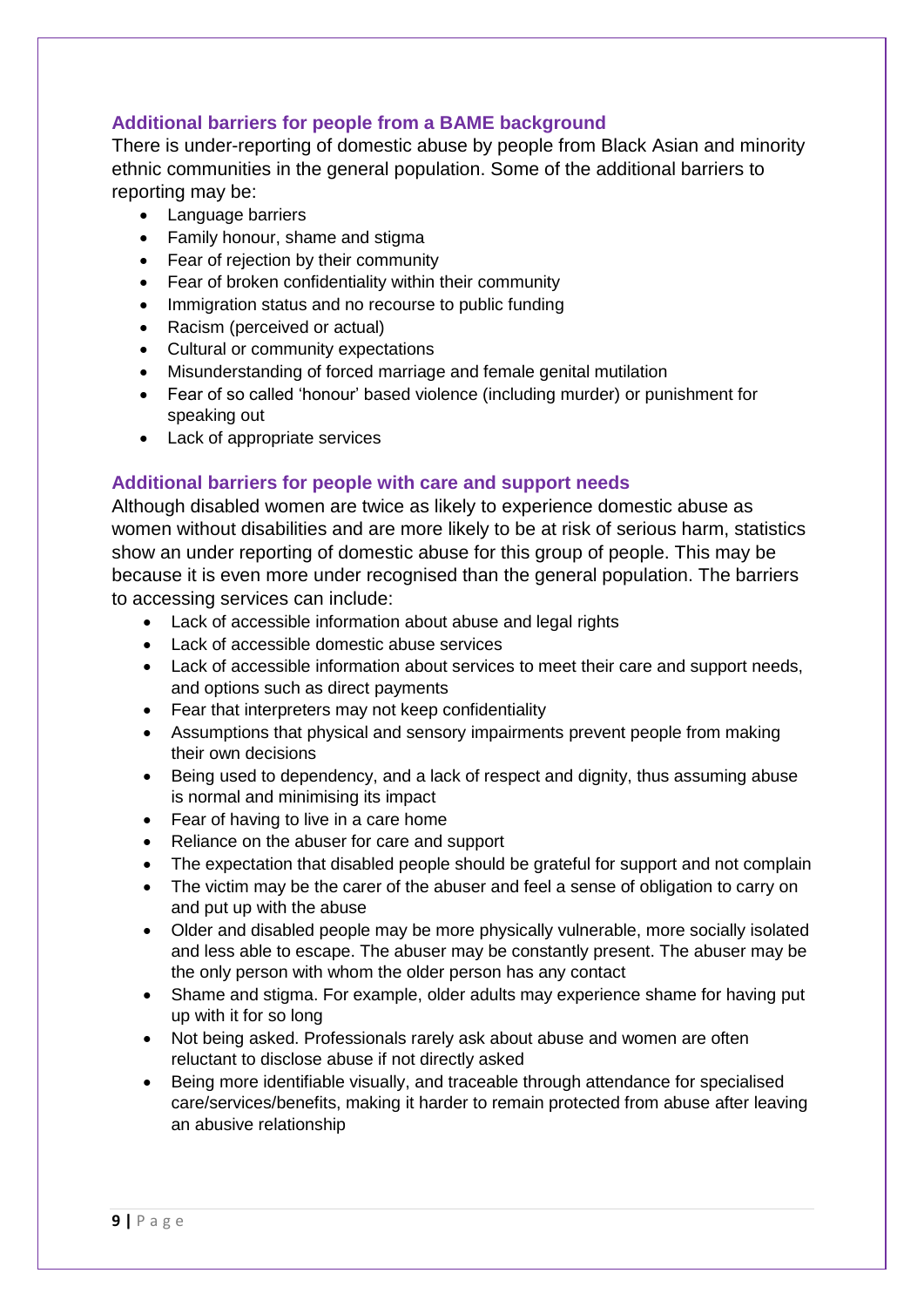# **Additional barriers for people from a BAME background**

There is under-reporting of domestic abuse by people from Black Asian and minority ethnic communities in the general population. Some of the additional barriers to reporting may be:

- Language barriers
- Family honour, shame and stigma
- Fear of rejection by their community
- Fear of broken confidentiality within their community
- Immigration status and no recourse to public funding
- Racism (perceived or actual)
- Cultural or community expectations
- Misunderstanding of forced marriage and female genital mutilation
- Fear of so called 'honour' based violence (including murder) or punishment for speaking out
- Lack of appropriate services

# **Additional barriers for people with care and support needs**

Although disabled women are twice as likely to experience domestic abuse as women without disabilities and are more likely to be at risk of serious harm, statistics show an under reporting of domestic abuse for this group of people. This may be because it is even more under recognised than the general population. The barriers to accessing services can include:

- Lack of accessible information about abuse and legal rights
- Lack of accessible domestic abuse services
- Lack of accessible information about services to meet their care and support needs, and options such as direct payments
- Fear that interpreters may not keep confidentiality
- Assumptions that physical and sensory impairments prevent people from making their own decisions
- Being used to dependency, and a lack of respect and dignity, thus assuming abuse is normal and minimising its impact
- Fear of having to live in a care home
- Reliance on the abuser for care and support
- The expectation that disabled people should be grateful for support and not complain
- The victim may be the carer of the abuser and feel a sense of obligation to carry on and put up with the abuse
- Older and disabled people may be more physically vulnerable, more socially isolated and less able to escape. The abuser may be constantly present. The abuser may be the only person with whom the older person has any contact
- Shame and stigma. For example, older adults may experience shame for having put up with it for so long
- Not being asked. Professionals rarely ask about abuse and women are often reluctant to disclose abuse if not directly asked
- Being more identifiable visually, and traceable through attendance for specialised care/services/benefits, making it harder to remain protected from abuse after leaving an abusive relationship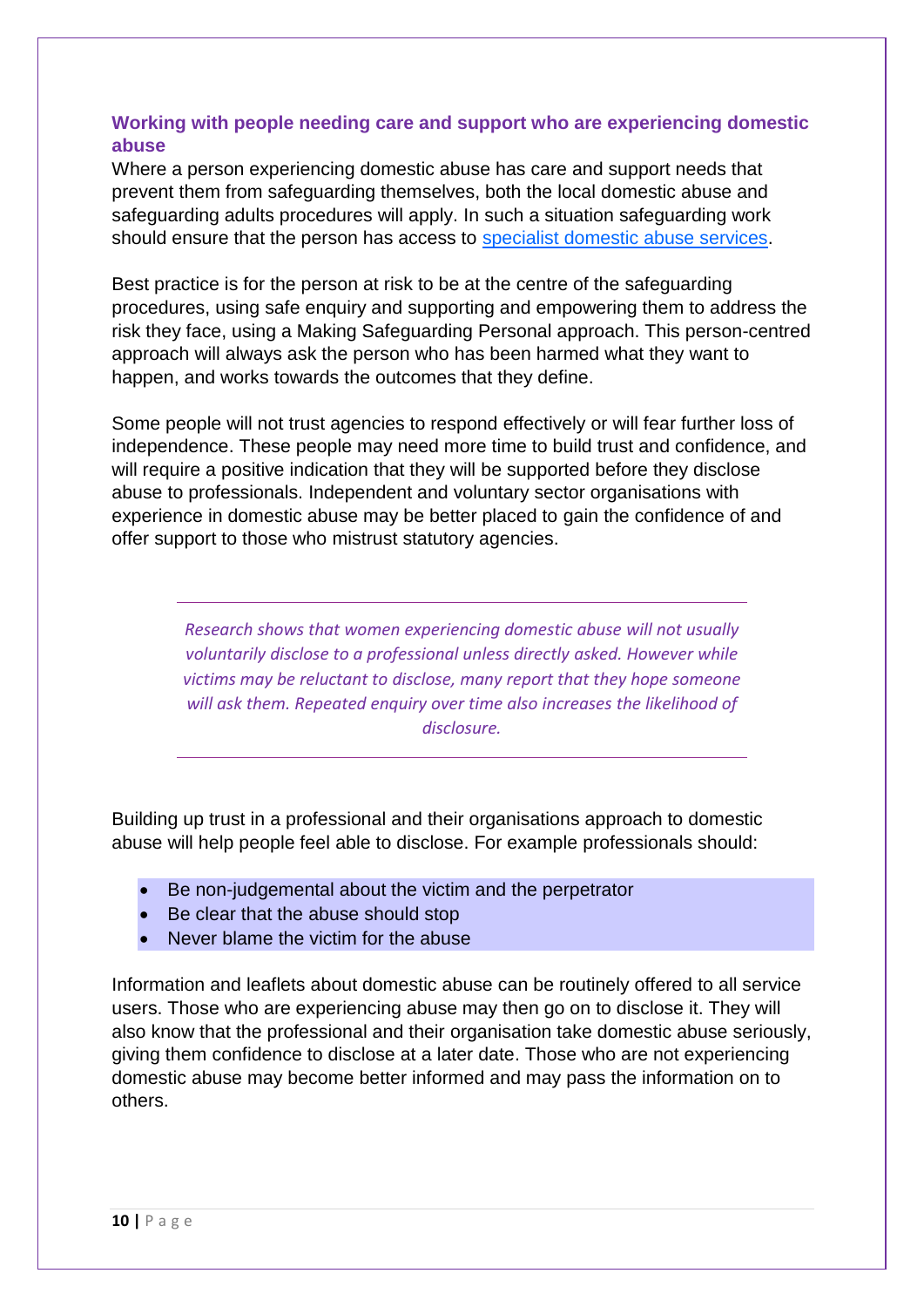# **Working with people needing care and support who are experiencing domestic abuse**

Where a person experiencing domestic abuse has care and support needs that prevent them from safeguarding themselves, both the local domestic abuse and safeguarding adults procedures will apply. In such a situation safeguarding work should ensure that the person has access to [specialist domestic abuse services.](http://www.nextlinkhousing.co.uk/southglos/)

Best practice is for the person at risk to be at the centre of the safeguarding procedures, using safe enquiry and supporting and empowering them to address the risk they face, using a Making Safeguarding Personal approach. This person-centred approach will always ask the person who has been harmed what they want to happen, and works towards the outcomes that they define.

Some people will not trust agencies to respond effectively or will fear further loss of independence. These people may need more time to build trust and confidence, and will require a positive indication that they will be supported before they disclose abuse to professionals. Independent and voluntary sector organisations with experience in domestic abuse may be better placed to gain the confidence of and offer support to those who mistrust statutory agencies.

> *Research shows that women experiencing domestic abuse will not usually voluntarily disclose to a professional unless directly asked. However while victims may be reluctant to disclose, many report that they hope someone will ask them. Repeated enquiry over time also increases the likelihood of disclosure.*

Building up trust in a professional and their organisations approach to domestic abuse will help people feel able to disclose. For example professionals should:

- Be non-judgemental about the victim and the perpetrator
- Be clear that the abuse should stop
- Never blame the victim for the abuse

Information and leaflets about domestic abuse can be routinely offered to all service users. Those who are experiencing abuse may then go on to disclose it. They will also know that the professional and their organisation take domestic abuse seriously, giving them confidence to disclose at a later date. Those who are not experiencing domestic abuse may become better informed and may pass the information on to others.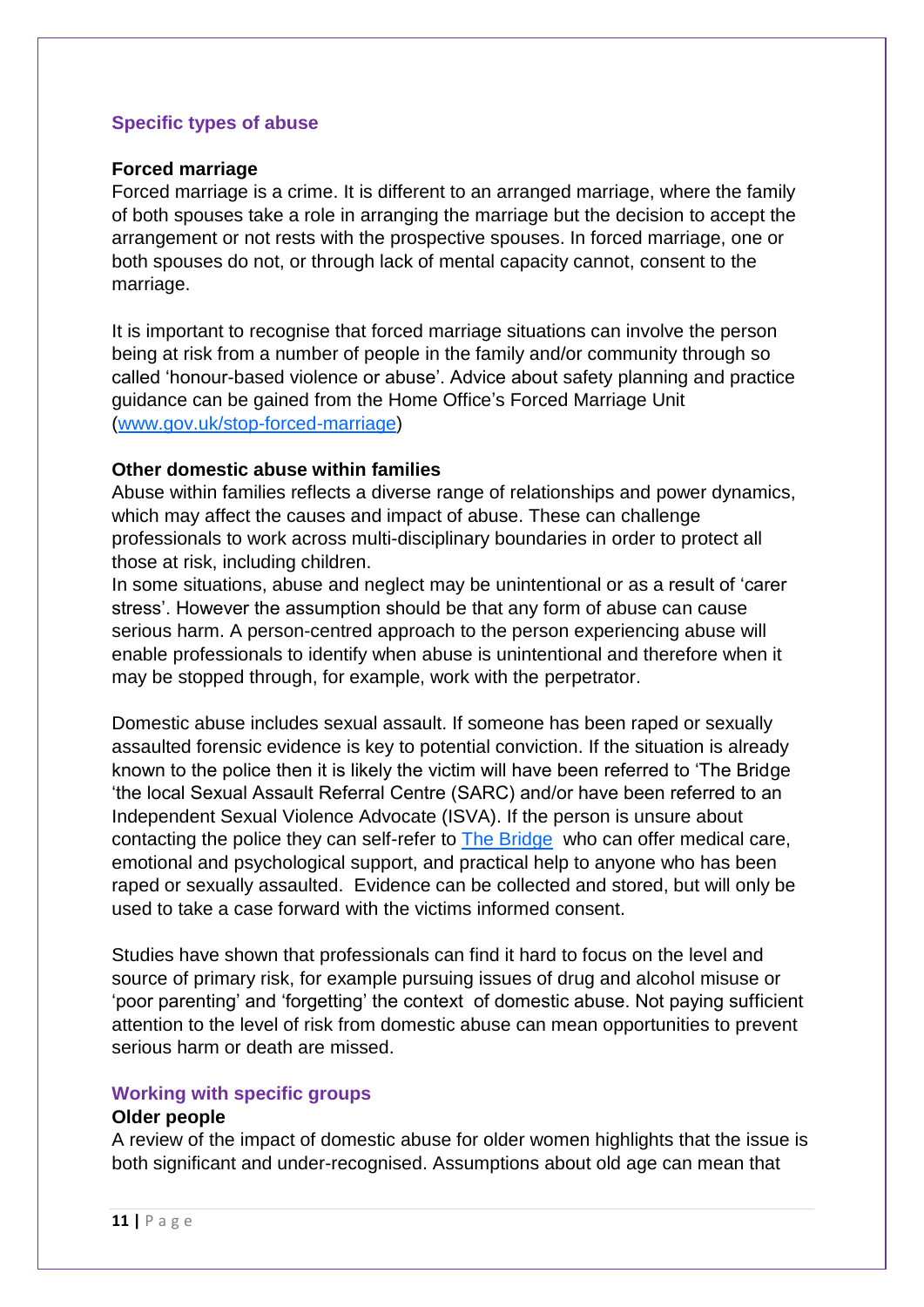#### **Specific types of abuse**

#### **Forced marriage**

Forced marriage is a crime. It is different to an arranged marriage, where the family of both spouses take a role in arranging the marriage but the decision to accept the arrangement or not rests with the prospective spouses. In forced marriage, one or both spouses do not, or through lack of mental capacity cannot, consent to the marriage.

It is important to recognise that forced marriage situations can involve the person being at risk from a number of people in the family and/or community through so called 'honour-based violence or abuse'. Advice about safety planning and practice guidance can be gained from the Home Office's Forced Marriage Unit [\(www.gov.uk/stop-forced-marriage\)](http://www.gov.uk/stop-forced-marriage)

# **Other domestic abuse within families**

Abuse within families reflects a diverse range of relationships and power dynamics, which may affect the causes and impact of abuse. These can challenge professionals to work across multi-disciplinary boundaries in order to protect all those at risk, including children.

In some situations, abuse and neglect may be unintentional or as a result of 'carer stress'. However the assumption should be that any form of abuse can cause serious harm. A person-centred approach to the person experiencing abuse will enable professionals to identify when abuse is unintentional and therefore when it may be stopped through, for example, work with the perpetrator.

Domestic abuse includes sexual assault. If someone has been raped or sexually assaulted forensic evidence is key to potential conviction. If the situation is already known to the police then it is likely the victim will have been referred to 'The Bridge 'the local Sexual Assault Referral Centre (SARC) and/or have been referred to an Independent Sexual Violence Advocate (ISVA). If the person is unsure about contacting the police they can self-refer to [The Bridge](https://www.thebridgecanhelp.org.uk/) who can offer medical care, emotional and psychological support, and practical help to anyone who has been raped or sexually assaulted. Evidence can be collected and stored, but will only be used to take a case forward with the victims informed consent.

Studies have shown that professionals can find it hard to focus on the level and source of primary risk, for example pursuing issues of drug and alcohol misuse or 'poor parenting' and 'forgetting' the context of domestic abuse. Not paying sufficient attention to the level of risk from domestic abuse can mean opportunities to prevent serious harm or death are missed.

#### **Working with specific groups**

#### **Older people**

A review of the impact of domestic abuse for older women highlights that the issue is both significant and under-recognised. Assumptions about old age can mean that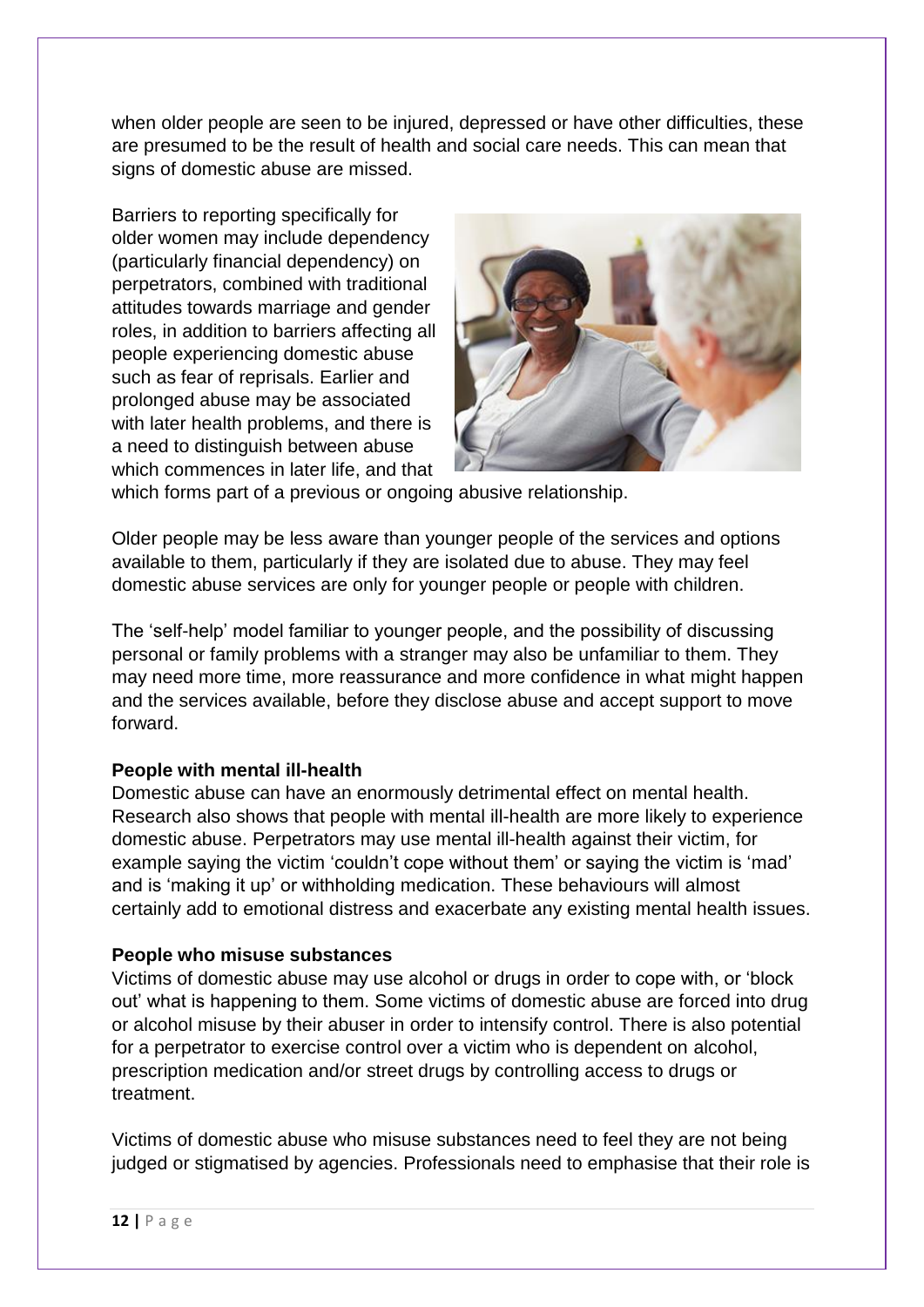when older people are seen to be injured, depressed or have other difficulties, these are presumed to be the result of health and social care needs. This can mean that signs of domestic abuse are missed.

Barriers to reporting specifically for older women may include dependency (particularly financial dependency) on perpetrators, combined with traditional attitudes towards marriage and gender roles, in addition to barriers affecting all people experiencing domestic abuse such as fear of reprisals. Earlier and prolonged abuse may be associated with later health problems, and there is a need to distinguish between abuse which commences in later life, and that



which forms part of a previous or ongoing abusive relationship.

Older people may be less aware than younger people of the services and options available to them, particularly if they are isolated due to abuse. They may feel domestic abuse services are only for younger people or people with children.

The 'self-help' model familiar to younger people, and the possibility of discussing personal or family problems with a stranger may also be unfamiliar to them. They may need more time, more reassurance and more confidence in what might happen and the services available, before they disclose abuse and accept support to move forward.

# **People with mental ill-health**

Domestic abuse can have an enormously detrimental effect on mental health. Research also shows that people with mental ill-health are more likely to experience domestic abuse. Perpetrators may use mental ill-health against their victim, for example saying the victim 'couldn't cope without them' or saying the victim is 'mad' and is 'making it up' or withholding medication. These behaviours will almost certainly add to emotional distress and exacerbate any existing mental health issues.

# **People who misuse substances**

Victims of domestic abuse may use alcohol or drugs in order to cope with, or 'block out' what is happening to them. Some victims of domestic abuse are forced into drug or alcohol misuse by their abuser in order to intensify control. There is also potential for a perpetrator to exercise control over a victim who is dependent on alcohol, prescription medication and/or street drugs by controlling access to drugs or treatment.

Victims of domestic abuse who misuse substances need to feel they are not being judged or stigmatised by agencies. Professionals need to emphasise that their role is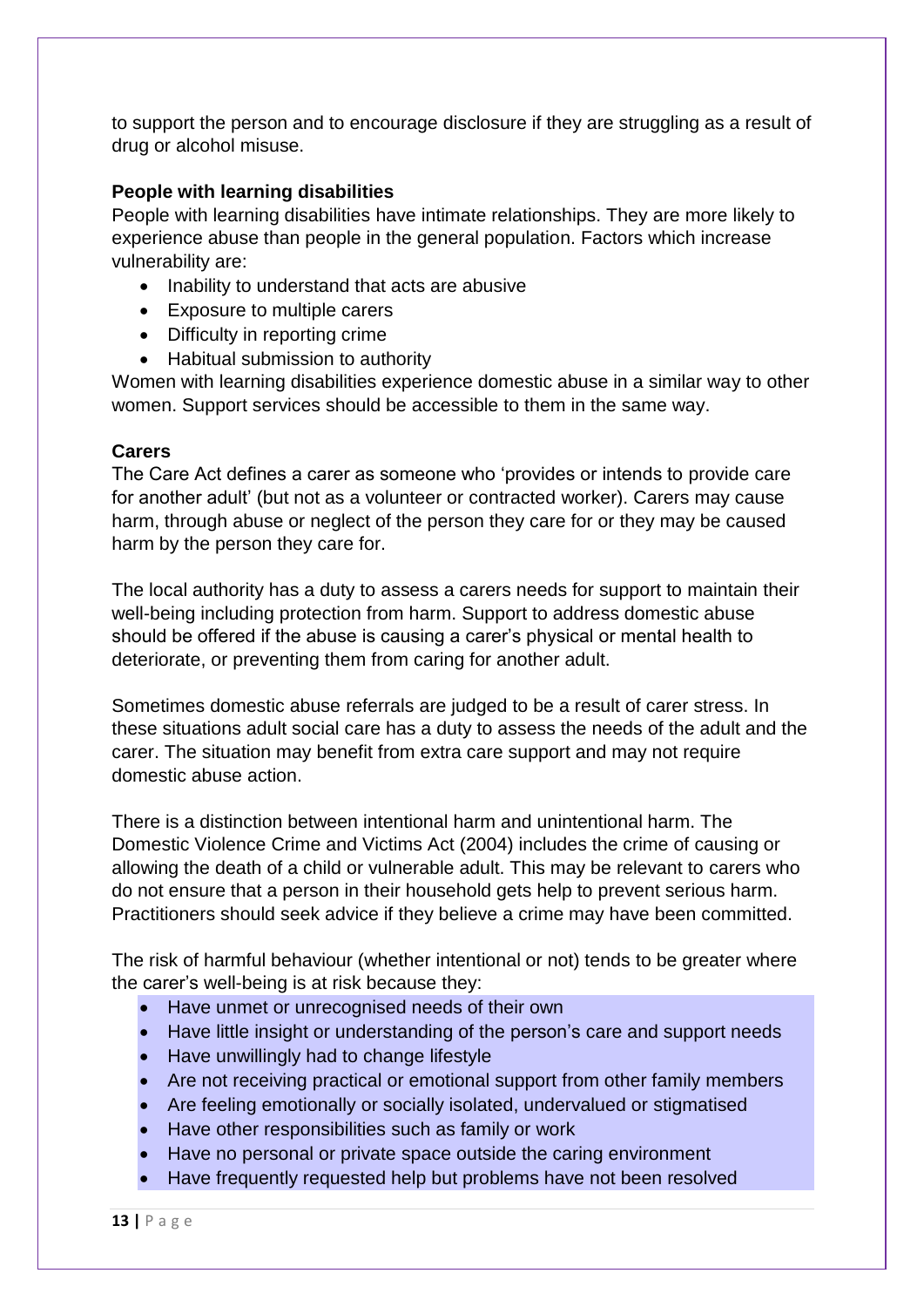to support the person and to encourage disclosure if they are struggling as a result of drug or alcohol misuse.

# **People with learning disabilities**

People with learning disabilities have intimate relationships. They are more likely to experience abuse than people in the general population. Factors which increase vulnerability are:

- Inability to understand that acts are abusive
- Exposure to multiple carers
- Difficulty in reporting crime
- Habitual submission to authority

Women with learning disabilities experience domestic abuse in a similar way to other women. Support services should be accessible to them in the same way.

# **Carers**

The Care Act defines a carer as someone who 'provides or intends to provide care for another adult' (but not as a volunteer or contracted worker). Carers may cause harm, through abuse or neglect of the person they care for or they may be caused harm by the person they care for.

The local authority has a duty to assess a carers needs for support to maintain their well-being including protection from harm. Support to address domestic abuse should be offered if the abuse is causing a carer's physical or mental health to deteriorate, or preventing them from caring for another adult.

Sometimes domestic abuse referrals are judged to be a result of carer stress. In these situations adult social care has a duty to assess the needs of the adult and the carer. The situation may benefit from extra care support and may not require domestic abuse action.

There is a distinction between intentional harm and unintentional harm. The Domestic Violence Crime and Victims Act (2004) includes the crime of causing or allowing the death of a child or vulnerable adult. This may be relevant to carers who do not ensure that a person in their household gets help to prevent serious harm. Practitioners should seek advice if they believe a crime may have been committed.

The risk of harmful behaviour (whether intentional or not) tends to be greater where the carer's well-being is at risk because they:

- Have unmet or unrecognised needs of their own
- Have little insight or understanding of the person's care and support needs
- Have unwillingly had to change lifestyle
- Are not receiving practical or emotional support from other family members
- Are feeling emotionally or socially isolated, undervalued or stigmatised
- Have other responsibilities such as family or work
- Have no personal or private space outside the caring environment
- Have frequently requested help but problems have not been resolved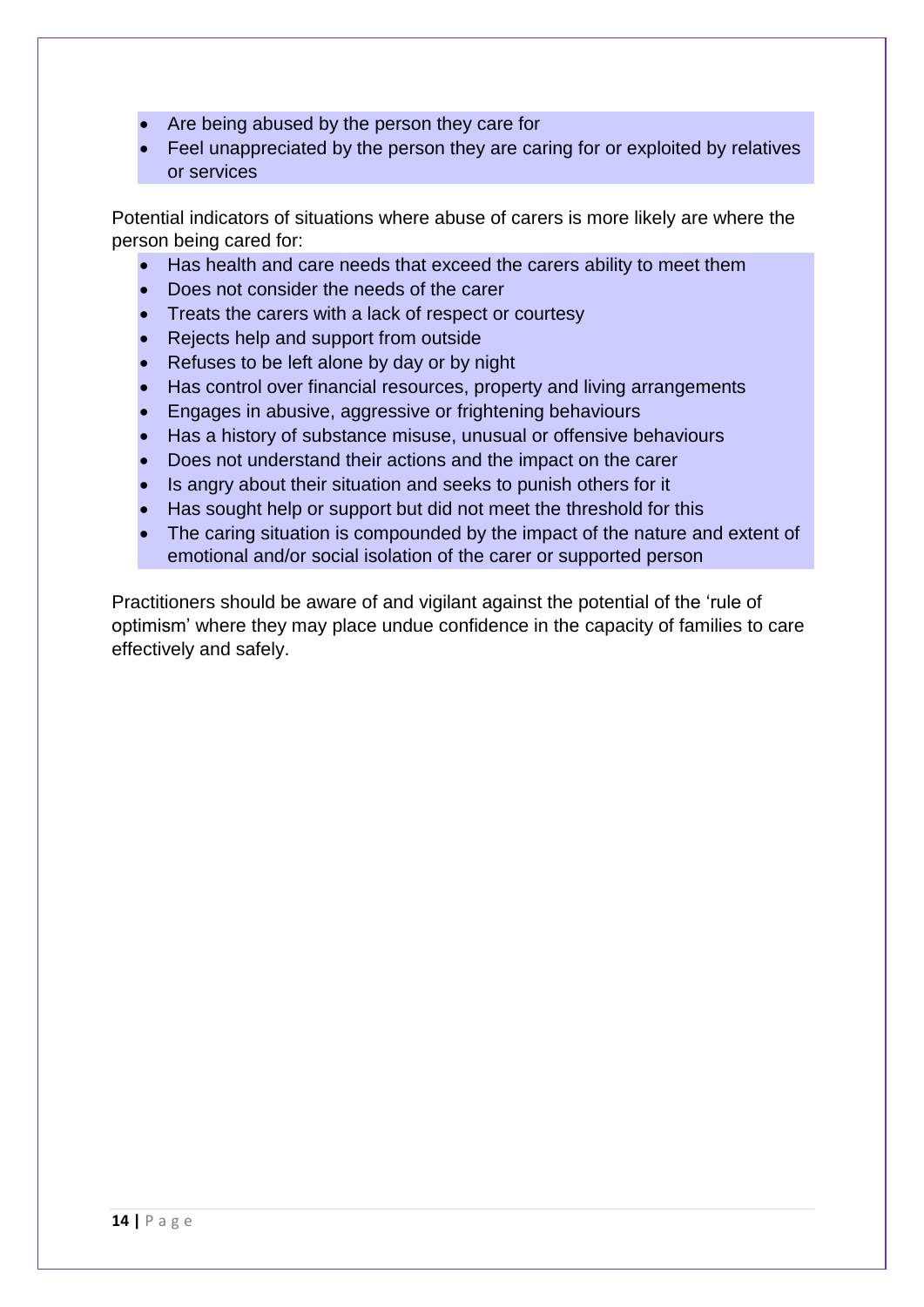- Are being abused by the person they care for
- Feel unappreciated by the person they are caring for or exploited by relatives or services

Potential indicators of situations where abuse of carers is more likely are where the person being cared for:

- Has health and care needs that exceed the carers ability to meet them
- Does not consider the needs of the carer
- Treats the carers with a lack of respect or courtesy
- Rejects help and support from outside
- Refuses to be left alone by day or by night
- Has control over financial resources, property and living arrangements
- Engages in abusive, aggressive or frightening behaviours
- Has a history of substance misuse, unusual or offensive behaviours
- Does not understand their actions and the impact on the carer
- Is angry about their situation and seeks to punish others for it
- Has sought help or support but did not meet the threshold for this
- The caring situation is compounded by the impact of the nature and extent of emotional and/or social isolation of the carer or supported person

Practitioners should be aware of and vigilant against the potential of the 'rule of optimism' where they may place undue confidence in the capacity of families to care effectively and safely.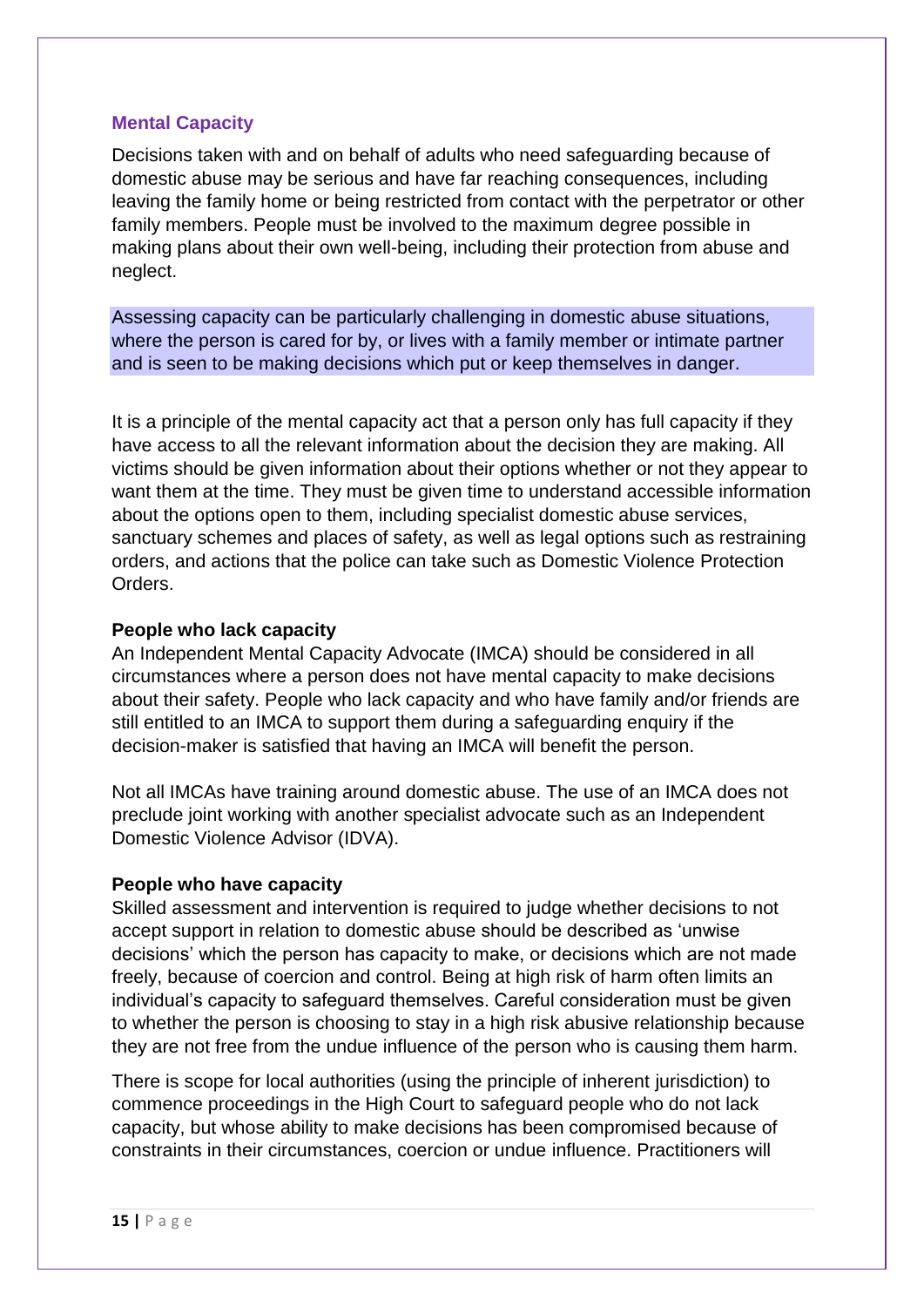# **Mental Capacity**

Decisions taken with and on behalf of adults who need safeguarding because of domestic abuse may be serious and have far reaching consequences, including leaving the family home or being restricted from contact with the perpetrator or other family members. People must be involved to the maximum degree possible in making plans about their own well-being, including their protection from abuse and neglect.

Assessing capacity can be particularly challenging in domestic abuse situations, where the person is cared for by, or lives with a family member or intimate partner and is seen to be making decisions which put or keep themselves in danger.

It is a principle of the mental capacity act that a person only has full capacity if they have access to all the relevant information about the decision they are making. All victims should be given information about their options whether or not they appear to want them at the time. They must be given time to understand accessible information about the options open to them, including specialist domestic abuse services, sanctuary schemes and places of safety, as well as legal options such as restraining orders, and actions that the police can take such as Domestic Violence Protection Orders.

# **People who lack capacity**

An Independent Mental Capacity Advocate (IMCA) should be considered in all circumstances where a person does not have mental capacity to make decisions about their safety. People who lack capacity and who have family and/or friends are still entitled to an IMCA to support them during a safeguarding enquiry if the decision-maker is satisfied that having an IMCA will benefit the person.

Not all IMCAs have training around domestic abuse. The use of an IMCA does not preclude joint working with another specialist advocate such as an Independent Domestic Violence Advisor (IDVA).

# **People who have capacity**

Skilled assessment and intervention is required to judge whether decisions to not accept support in relation to domestic abuse should be described as 'unwise decisions' which the person has capacity to make, or decisions which are not made freely, because of coercion and control. Being at high risk of harm often limits an individual's capacity to safeguard themselves. Careful consideration must be given to whether the person is choosing to stay in a high risk abusive relationship because they are not free from the undue influence of the person who is causing them harm.

There is scope for local authorities (using the principle of inherent jurisdiction) to commence proceedings in the High Court to safeguard people who do not lack capacity, but whose ability to make decisions has been compromised because of constraints in their circumstances, coercion or undue influence. Practitioners will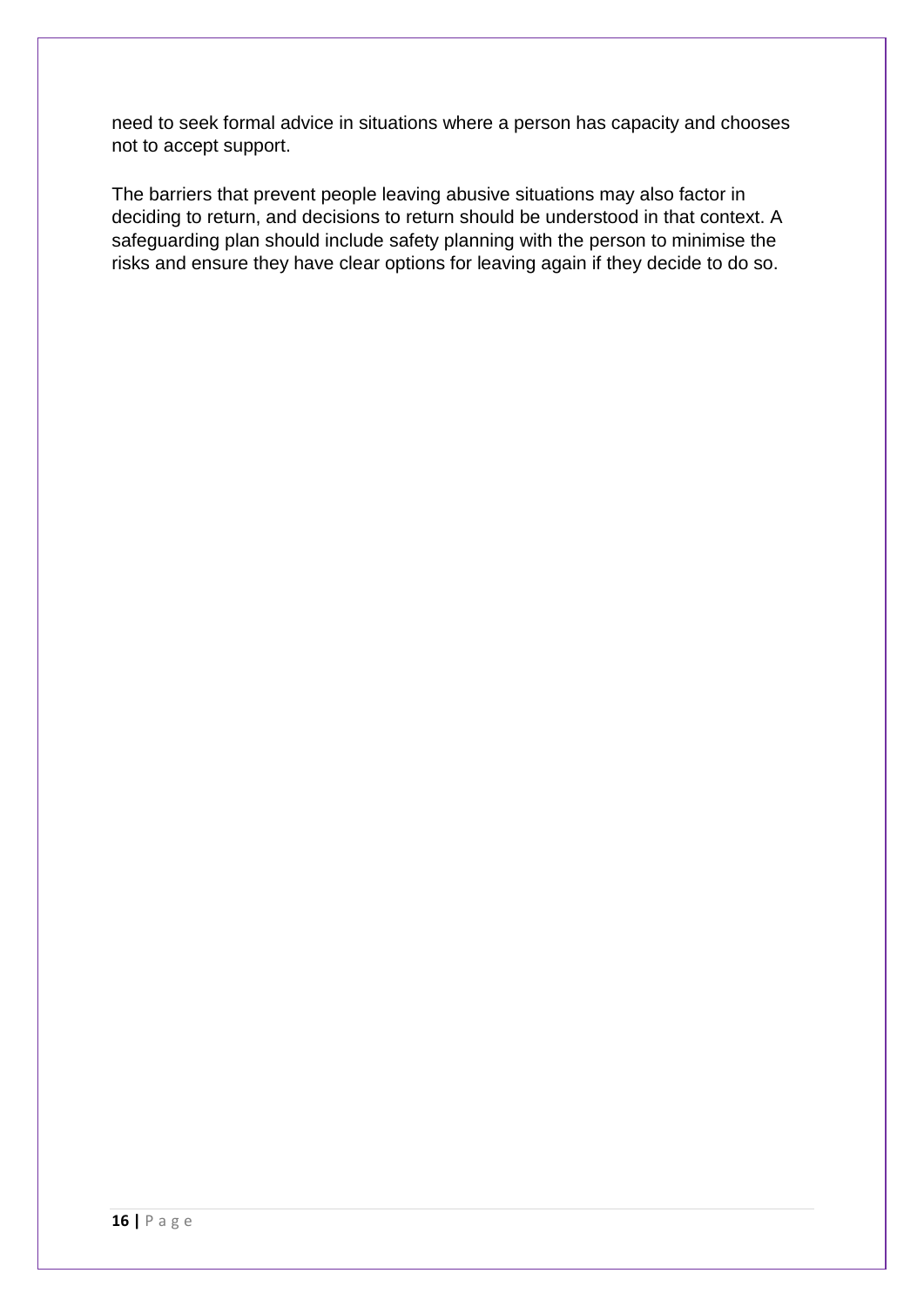need to seek formal advice in situations where a person has capacity and chooses not to accept support.

The barriers that prevent people leaving abusive situations may also factor in deciding to return, and decisions to return should be understood in that context. A safeguarding plan should include safety planning with the person to minimise the risks and ensure they have clear options for leaving again if they decide to do so.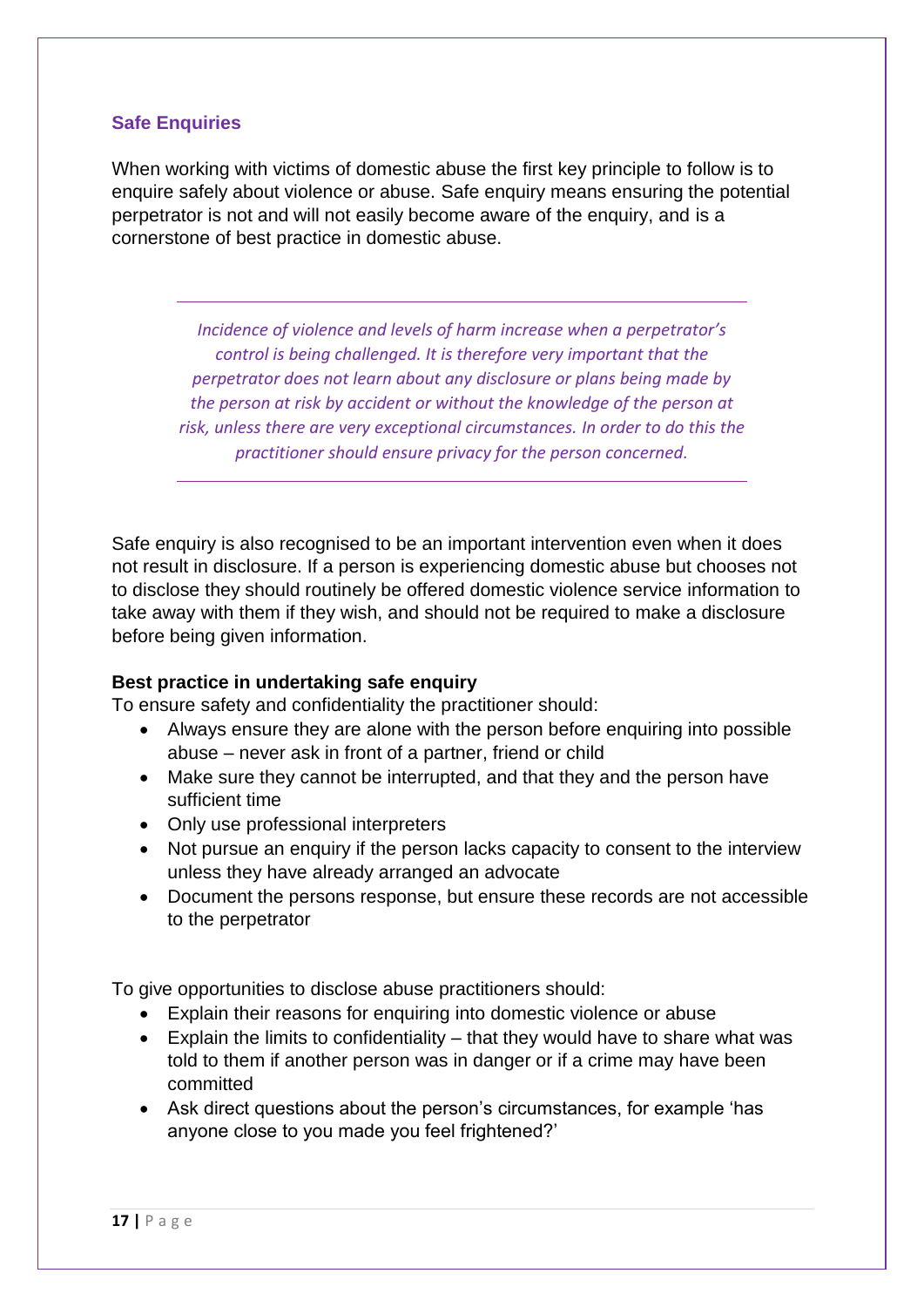# **Safe Enquiries**

When working with victims of domestic abuse the first key principle to follow is to enquire safely about violence or abuse. Safe enquiry means ensuring the potential perpetrator is not and will not easily become aware of the enquiry, and is a cornerstone of best practice in domestic abuse.

*Incidence of violence and levels of harm increase when a perpetrator's control is being challenged. It is therefore very important that the perpetrator does not learn about any disclosure or plans being made by the person at risk by accident or without the knowledge of the person at risk, unless there are very exceptional circumstances. In order to do this the practitioner should ensure privacy for the person concerned.*

Safe enquiry is also recognised to be an important intervention even when it does not result in disclosure. If a person is experiencing domestic abuse but chooses not to disclose they should routinely be offered domestic violence service information to take away with them if they wish, and should not be required to make a disclosure before being given information.

# **Best practice in undertaking safe enquiry**

To ensure safety and confidentiality the practitioner should:

- Always ensure they are alone with the person before enquiring into possible abuse – never ask in front of a partner, friend or child
- Make sure they cannot be interrupted, and that they and the person have sufficient time
- Only use professional interpreters
- Not pursue an enquiry if the person lacks capacity to consent to the interview unless they have already arranged an advocate
- Document the persons response, but ensure these records are not accessible to the perpetrator

To give opportunities to disclose abuse practitioners should:

- Explain their reasons for enquiring into domestic violence or abuse
- Explain the limits to confidentiality that they would have to share what was told to them if another person was in danger or if a crime may have been committed
- Ask direct questions about the person's circumstances, for example 'has anyone close to you made you feel frightened?'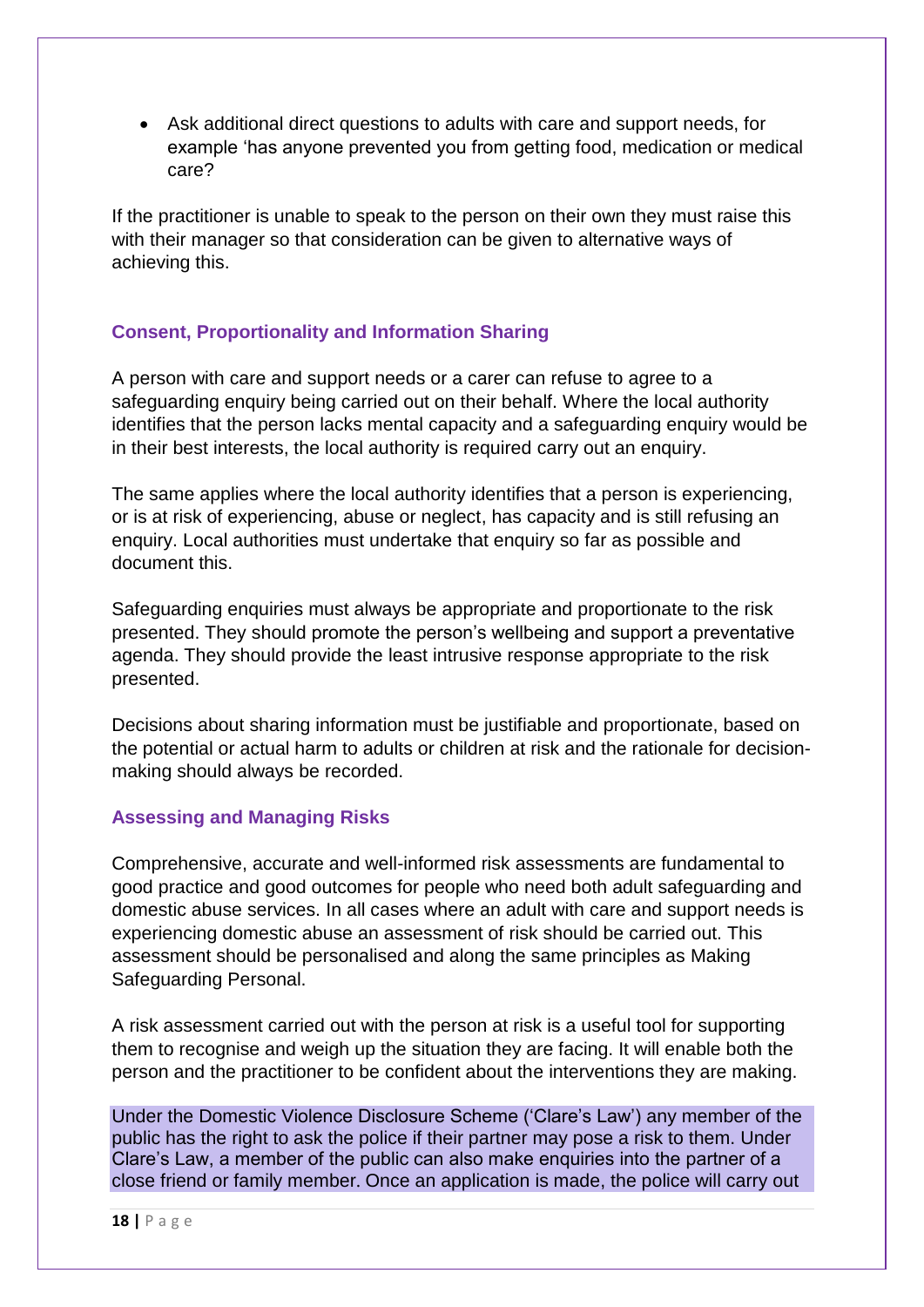Ask additional direct questions to adults with care and support needs, for example 'has anyone prevented you from getting food, medication or medical care?

If the practitioner is unable to speak to the person on their own they must raise this with their manager so that consideration can be given to alternative ways of achieving this.

# **Consent, Proportionality and Information Sharing**

A person with care and support needs or a carer can refuse to agree to a safeguarding enquiry being carried out on their behalf. Where the local authority identifies that the person lacks mental capacity and a safeguarding enquiry would be in their best interests, the local authority is required carry out an enquiry.

The same applies where the local authority identifies that a person is experiencing, or is at risk of experiencing, abuse or neglect, has capacity and is still refusing an enquiry. Local authorities must undertake that enquiry so far as possible and document this.

Safeguarding enquiries must always be appropriate and proportionate to the risk presented. They should promote the person's wellbeing and support a preventative agenda. They should provide the least intrusive response appropriate to the risk presented.

Decisions about sharing information must be justifiable and proportionate, based on the potential or actual harm to adults or children at risk and the rationale for decisionmaking should always be recorded.

# **Assessing and Managing Risks**

Comprehensive, accurate and well-informed risk assessments are fundamental to good practice and good outcomes for people who need both adult safeguarding and domestic abuse services. In all cases where an adult with care and support needs is experiencing domestic abuse an assessment of risk should be carried out. This assessment should be personalised and along the same principles as Making Safeguarding Personal.

A risk assessment carried out with the person at risk is a useful tool for supporting them to recognise and weigh up the situation they are facing. It will enable both the person and the practitioner to be confident about the interventions they are making.

Under the Domestic Violence Disclosure Scheme ('Clare's Law') any member of the public has the right to ask the police if their partner may pose a risk to them. Under Clare's Law, a member of the public can also make enquiries into the partner of a close friend or family member. Once an application is made, the police will carry out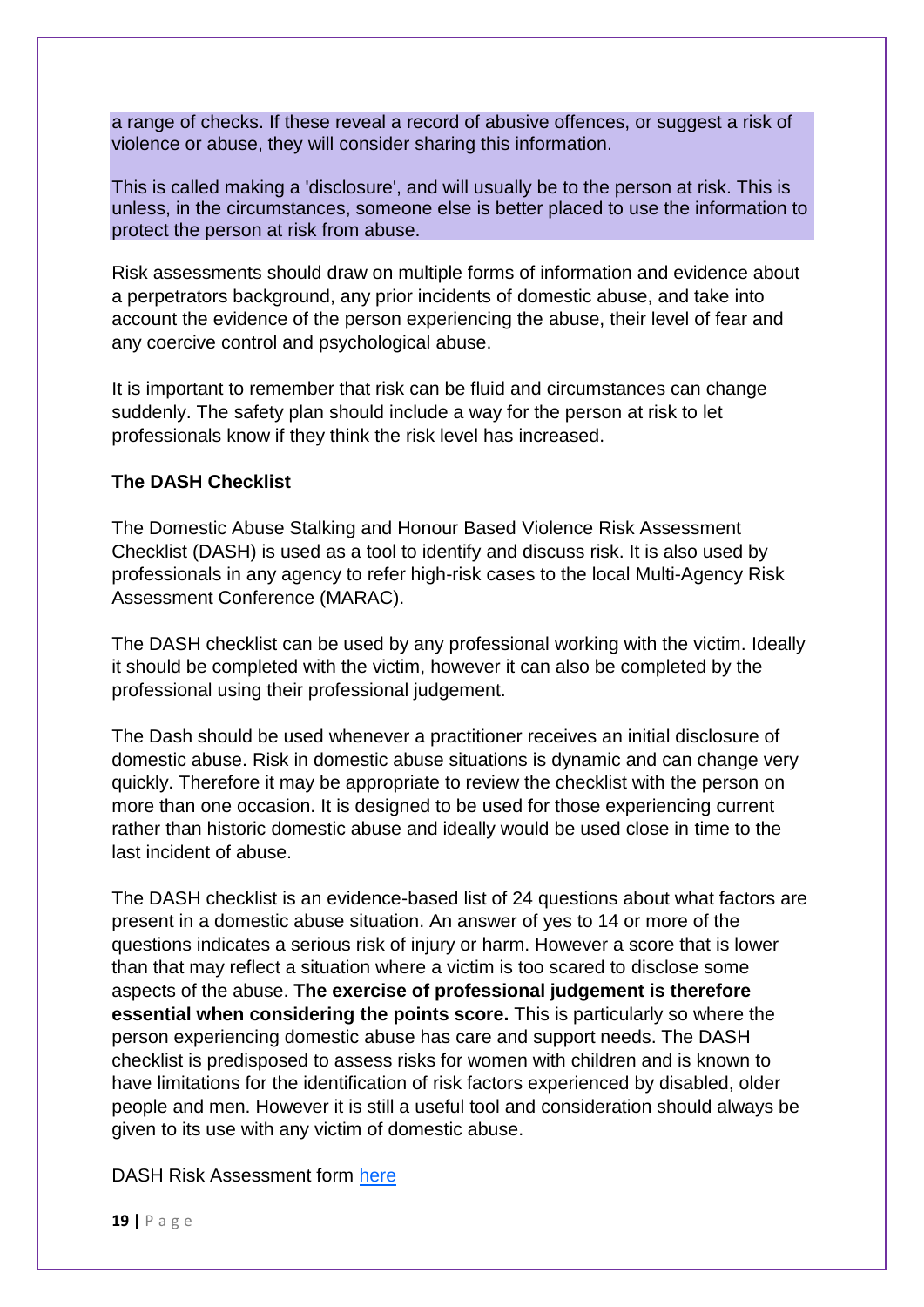a range of checks. If these reveal a record of abusive offences, or suggest a risk of violence or abuse, they will consider sharing this information.

This is called making a 'disclosure', and will usually be to the person at risk. This is unless, in the circumstances, someone else is better placed to use the information to protect the person at risk from abuse.

Risk assessments should draw on multiple forms of information and evidence about a perpetrators background, any prior incidents of domestic abuse, and take into account the evidence of the person experiencing the abuse, their level of fear and any coercive control and psychological abuse.

It is important to remember that risk can be fluid and circumstances can change suddenly. The safety plan should include a way for the person at risk to let professionals know if they think the risk level has increased.

# **The DASH Checklist**

The Domestic Abuse Stalking and Honour Based Violence Risk Assessment Checklist (DASH) is used as a tool to identify and discuss risk. It is also used by professionals in any agency to refer high-risk cases to the local Multi-Agency Risk Assessment Conference (MARAC).

The DASH checklist can be used by any professional working with the victim. Ideally it should be completed with the victim, however it can also be completed by the professional using their professional judgement.

The Dash should be used whenever a practitioner receives an initial disclosure of domestic abuse. Risk in domestic abuse situations is dynamic and can change very quickly. Therefore it may be appropriate to review the checklist with the person on more than one occasion. It is designed to be used for those experiencing current rather than historic domestic abuse and ideally would be used close in time to the last incident of abuse.

The DASH checklist is an evidence-based list of 24 questions about what factors are present in a domestic abuse situation. An answer of yes to 14 or more of the questions indicates a serious risk of injury or harm. However a score that is lower than that may reflect a situation where a victim is too scared to disclose some aspects of the abuse. **The exercise of professional judgement is therefore essential when considering the points score.** This is particularly so where the person experiencing domestic abuse has care and support needs. The DASH checklist is predisposed to assess risks for women with children and is known to have limitations for the identification of risk factors experienced by disabled, older people and men. However it is still a useful tool and consideration should always be given to its use with any victim of domestic abuse.

DASH Risk Assessment form [here](http://www.safelives.org.uk/sites/default/files/resources/Dash%20risk%20checklist%20quick%20start%20guidance%20FINAL_1.pdf)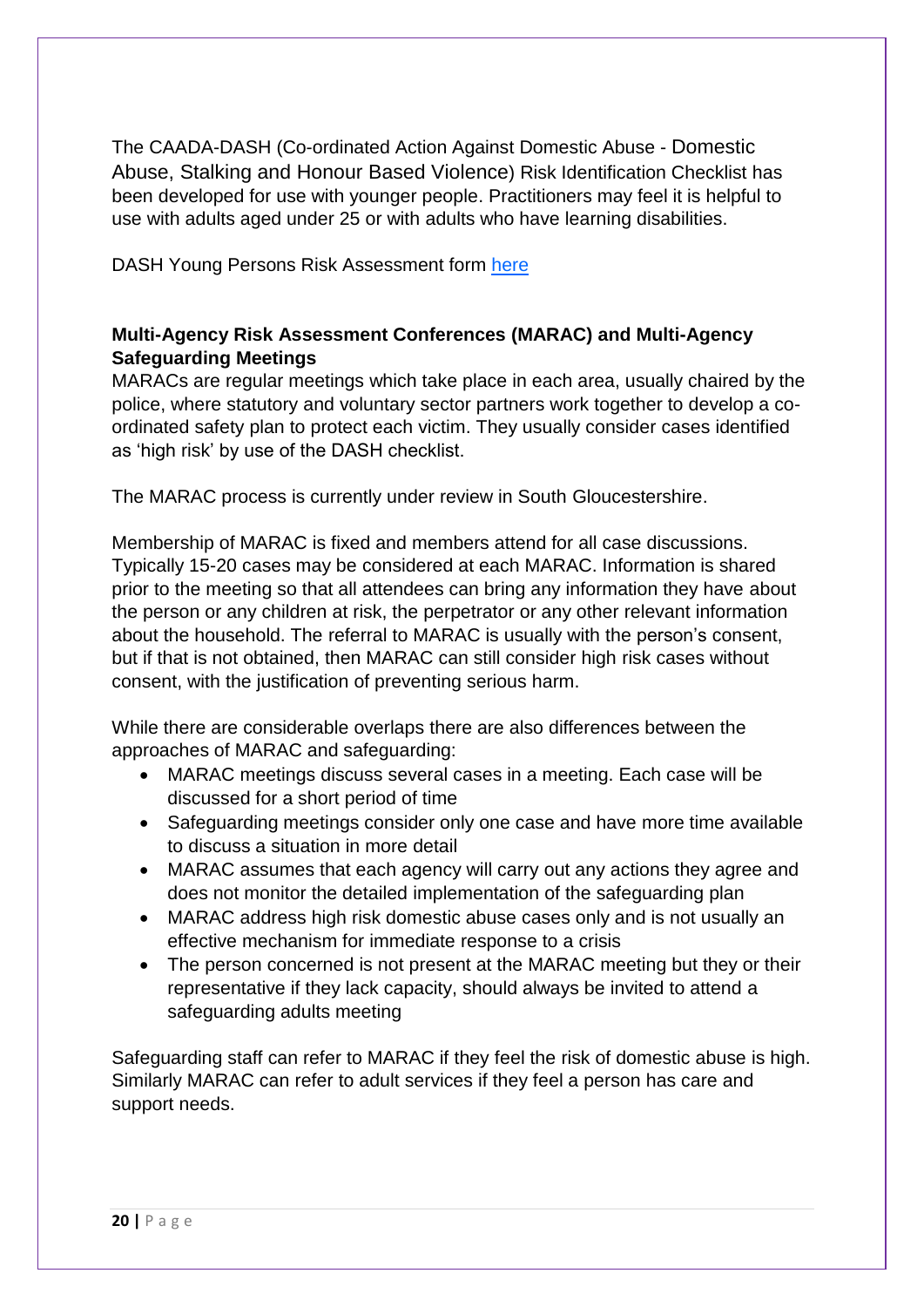The CAADA-DASH (Co-ordinated Action Against Domestic Abuse - Domestic Abuse, [Stalking](https://www.dashriskchecklist.co.uk/stalking/) and [Honour Based Violence](https://www.dashriskchecklist.co.uk/honour-based-abuse/)) Risk Identification Checklist has been developed for use with younger people. Practitioners may feel it is helpful to use with adults aged under 25 or with adults who have learning disabilities.

DASH Young Persons Risk Assessment form [here](http://sites.southglos.gov.uk/safeguarding/wp-content/uploads/sites/221/2016/02/DASH-YP_RIC.pdf)

# **Multi-Agency Risk Assessment Conferences (MARAC) and Multi-Agency Safeguarding Meetings**

MARACs are regular meetings which take place in each area, usually chaired by the police, where statutory and voluntary sector partners work together to develop a coordinated safety plan to protect each victim. They usually consider cases identified as 'high risk' by use of the DASH checklist.

The MARAC process is currently under review in South Gloucestershire.

Membership of MARAC is fixed and members attend for all case discussions. Typically 15-20 cases may be considered at each MARAC. Information is shared prior to the meeting so that all attendees can bring any information they have about the person or any children at risk, the perpetrator or any other relevant information about the household. The referral to MARAC is usually with the person's consent, but if that is not obtained, then MARAC can still consider high risk cases without consent, with the justification of preventing serious harm.

While there are considerable overlaps there are also differences between the approaches of MARAC and safeguarding:

- MARAC meetings discuss several cases in a meeting. Each case will be discussed for a short period of time
- Safeguarding meetings consider only one case and have more time available to discuss a situation in more detail
- MARAC assumes that each agency will carry out any actions they agree and does not monitor the detailed implementation of the safeguarding plan
- MARAC address high risk domestic abuse cases only and is not usually an effective mechanism for immediate response to a crisis
- The person concerned is not present at the MARAC meeting but they or their representative if they lack capacity, should always be invited to attend a safeguarding adults meeting

Safeguarding staff can refer to MARAC if they feel the risk of domestic abuse is high. Similarly MARAC can refer to adult services if they feel a person has care and support needs.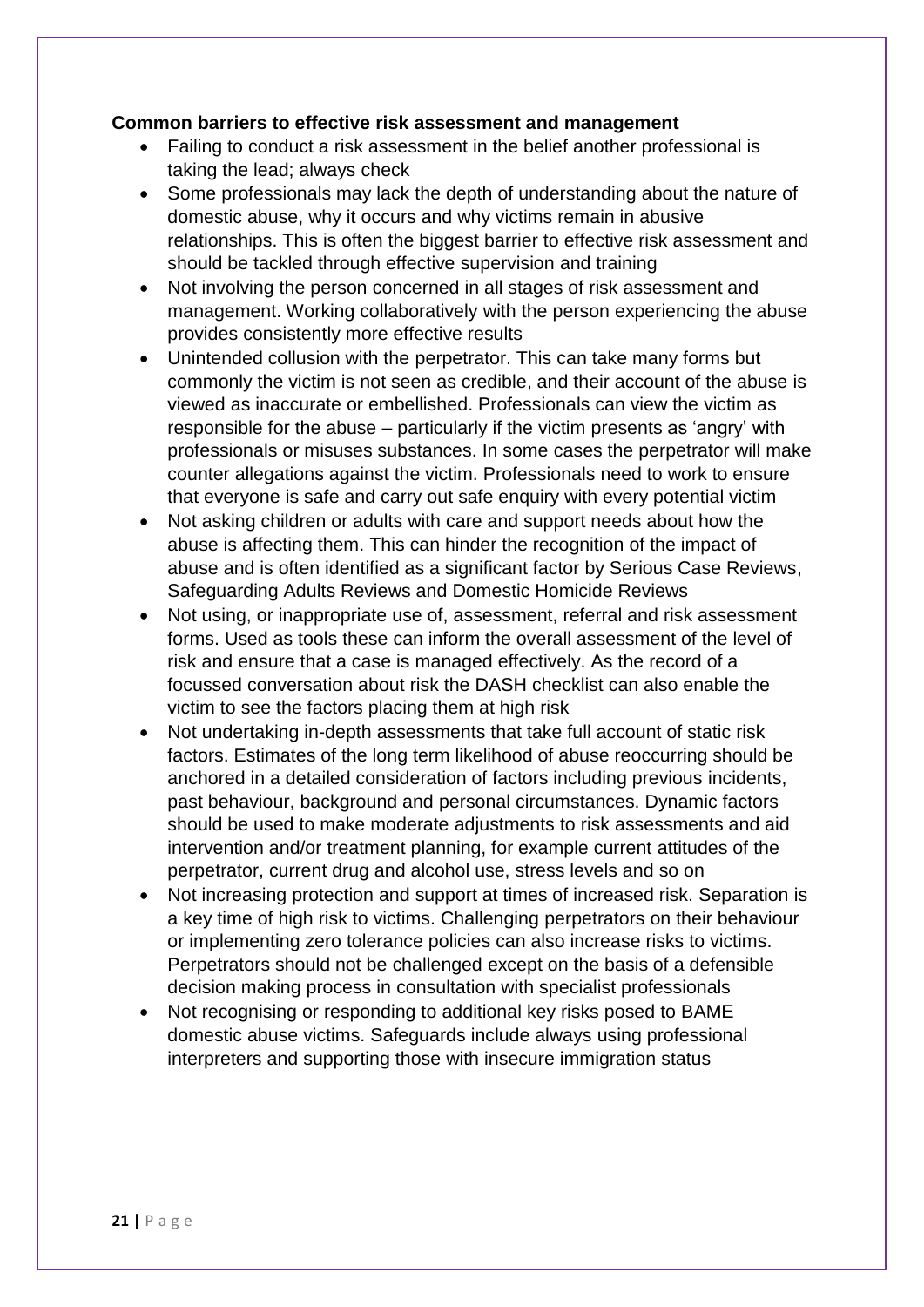# **Common barriers to effective risk assessment and management**

- Failing to conduct a risk assessment in the belief another professional is taking the lead; always check
- Some professionals may lack the depth of understanding about the nature of domestic abuse, why it occurs and why victims remain in abusive relationships. This is often the biggest barrier to effective risk assessment and should be tackled through effective supervision and training
- Not involving the person concerned in all stages of risk assessment and management. Working collaboratively with the person experiencing the abuse provides consistently more effective results
- Unintended collusion with the perpetrator. This can take many forms but commonly the victim is not seen as credible, and their account of the abuse is viewed as inaccurate or embellished. Professionals can view the victim as responsible for the abuse – particularly if the victim presents as 'angry' with professionals or misuses substances. In some cases the perpetrator will make counter allegations against the victim. Professionals need to work to ensure that everyone is safe and carry out safe enquiry with every potential victim
- Not asking children or adults with care and support needs about how the abuse is affecting them. This can hinder the recognition of the impact of abuse and is often identified as a significant factor by Serious Case Reviews, Safeguarding Adults Reviews and Domestic Homicide Reviews
- Not using, or inappropriate use of, assessment, referral and risk assessment forms. Used as tools these can inform the overall assessment of the level of risk and ensure that a case is managed effectively. As the record of a focussed conversation about risk the DASH checklist can also enable the victim to see the factors placing them at high risk
- Not undertaking in-depth assessments that take full account of static risk factors. Estimates of the long term likelihood of abuse reoccurring should be anchored in a detailed consideration of factors including previous incidents, past behaviour, background and personal circumstances. Dynamic factors should be used to make moderate adjustments to risk assessments and aid intervention and/or treatment planning, for example current attitudes of the perpetrator, current drug and alcohol use, stress levels and so on
- Not increasing protection and support at times of increased risk. Separation is a key time of high risk to victims. Challenging perpetrators on their behaviour or implementing zero tolerance policies can also increase risks to victims. Perpetrators should not be challenged except on the basis of a defensible decision making process in consultation with specialist professionals
- Not recognising or responding to additional key risks posed to BAME domestic abuse victims. Safeguards include always using professional interpreters and supporting those with insecure immigration status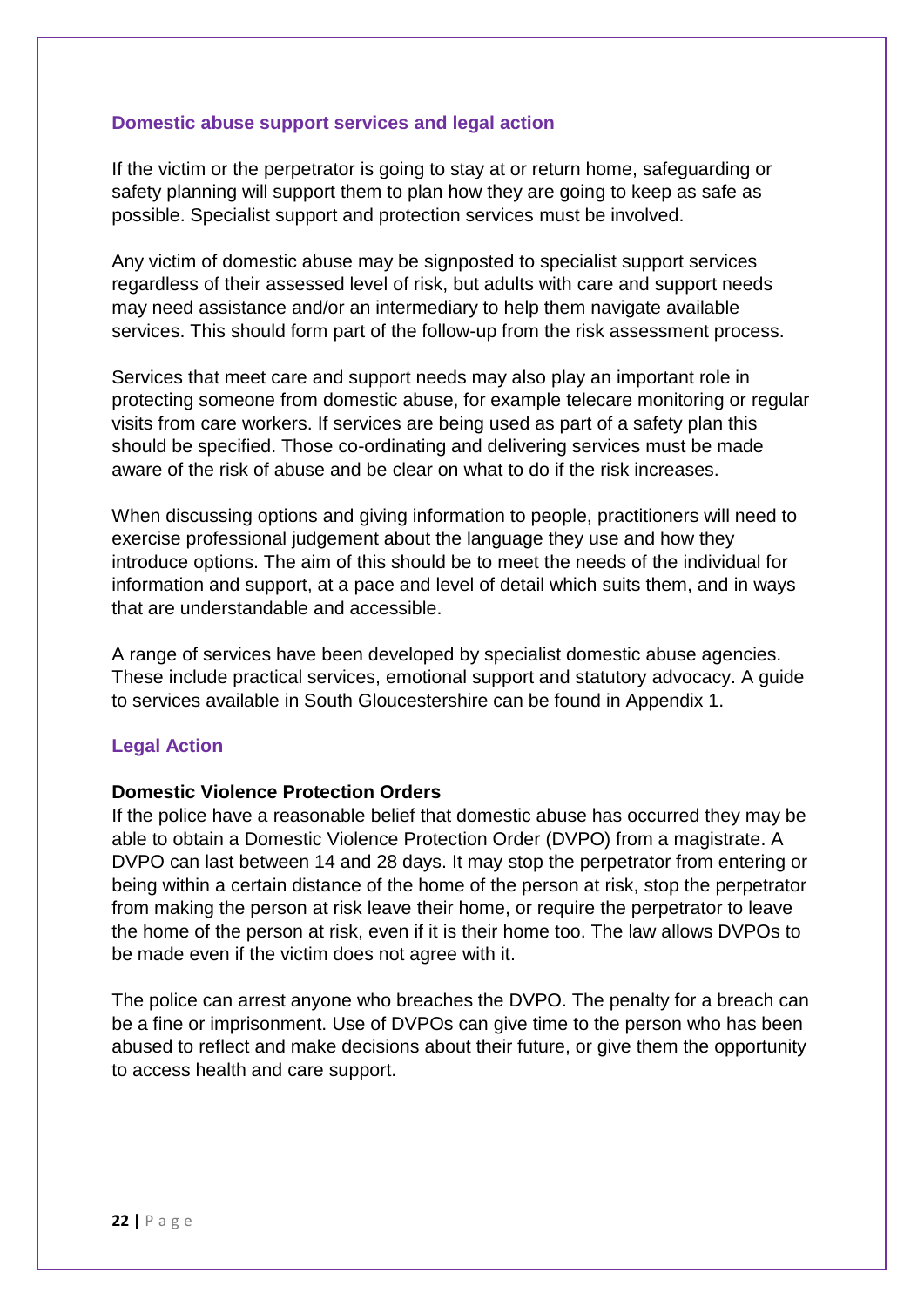#### **Domestic abuse support services and legal action**

If the victim or the perpetrator is going to stay at or return home, safeguarding or safety planning will support them to plan how they are going to keep as safe as possible. Specialist support and protection services must be involved.

Any victim of domestic abuse may be signposted to specialist support services regardless of their assessed level of risk, but adults with care and support needs may need assistance and/or an intermediary to help them navigate available services. This should form part of the follow-up from the risk assessment process.

Services that meet care and support needs may also play an important role in protecting someone from domestic abuse, for example telecare monitoring or regular visits from care workers. If services are being used as part of a safety plan this should be specified. Those co-ordinating and delivering services must be made aware of the risk of abuse and be clear on what to do if the risk increases.

When discussing options and giving information to people, practitioners will need to exercise professional judgement about the language they use and how they introduce options. The aim of this should be to meet the needs of the individual for information and support, at a pace and level of detail which suits them, and in ways that are understandable and accessible.

A range of services have been developed by specialist domestic abuse agencies. These include practical services, emotional support and statutory advocacy. A guide to services available in South Gloucestershire can be found in Appendix 1.

# **Legal Action**

#### **Domestic Violence Protection Orders**

If the police have a reasonable belief that domestic abuse has occurred they may be able to obtain a Domestic Violence Protection Order (DVPO) from a magistrate. A DVPO can last between 14 and 28 days. It may stop the perpetrator from entering or being within a certain distance of the home of the person at risk, stop the perpetrator from making the person at risk leave their home, or require the perpetrator to leave the home of the person at risk, even if it is their home too. The law allows DVPOs to be made even if the victim does not agree with it.

The police can arrest anyone who breaches the DVPO. The penalty for a breach can be a fine or imprisonment. Use of DVPOs can give time to the person who has been abused to reflect and make decisions about their future, or give them the opportunity to access health and care support.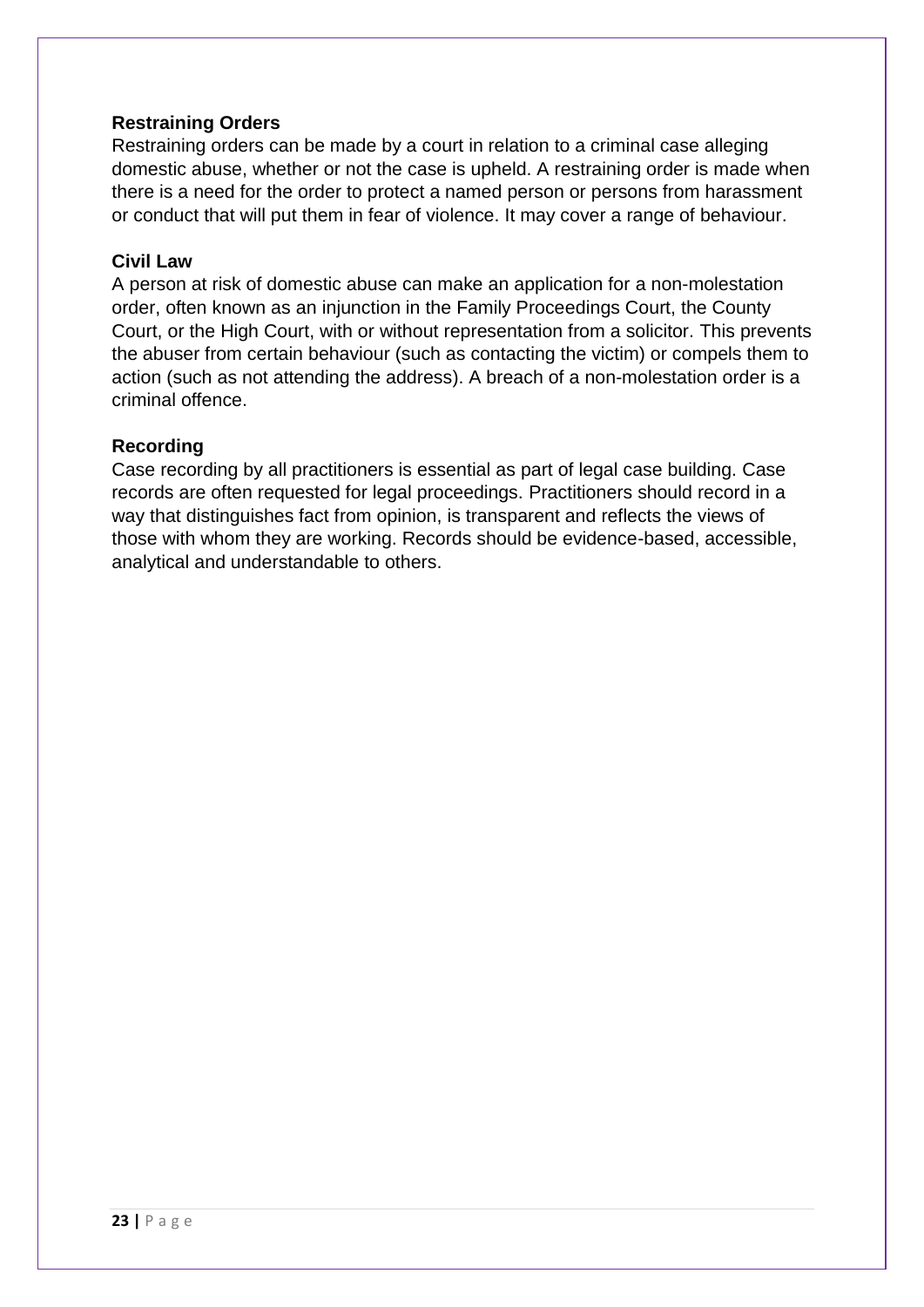# **Restraining Orders**

Restraining orders can be made by a court in relation to a criminal case alleging domestic abuse, whether or not the case is upheld. A restraining order is made when there is a need for the order to protect a named person or persons from harassment or conduct that will put them in fear of violence. It may cover a range of behaviour.

#### **Civil Law**

A person at risk of domestic abuse can make an application for a non-molestation order, often known as an injunction in the Family Proceedings Court, the County Court, or the High Court, with or without representation from a solicitor. This prevents the abuser from certain behaviour (such as contacting the victim) or compels them to action (such as not attending the address). A breach of a non-molestation order is a criminal offence.

# **Recording**

Case recording by all practitioners is essential as part of legal case building. Case records are often requested for legal proceedings. Practitioners should record in a way that distinguishes fact from opinion, is transparent and reflects the views of those with whom they are working. Records should be evidence-based, accessible, analytical and understandable to others.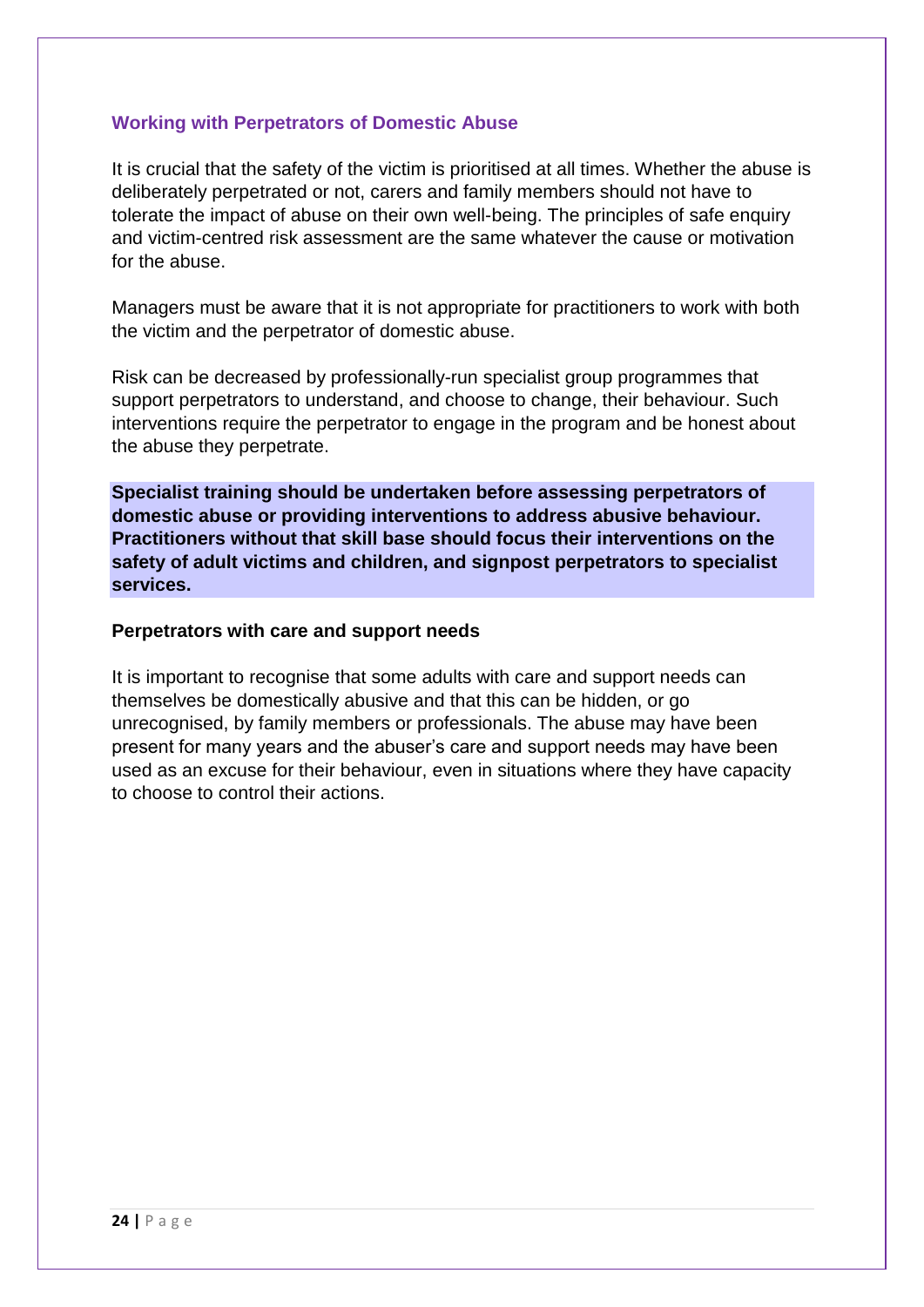# **Working with Perpetrators of Domestic Abuse**

It is crucial that the safety of the victim is prioritised at all times. Whether the abuse is deliberately perpetrated or not, carers and family members should not have to tolerate the impact of abuse on their own well-being. The principles of safe enquiry and victim-centred risk assessment are the same whatever the cause or motivation for the abuse.

Managers must be aware that it is not appropriate for practitioners to work with both the victim and the perpetrator of domestic abuse.

Risk can be decreased by professionally-run specialist group programmes that support perpetrators to understand, and choose to change, their behaviour. Such interventions require the perpetrator to engage in the program and be honest about the abuse they perpetrate.

**Specialist training should be undertaken before assessing perpetrators of domestic abuse or providing interventions to address abusive behaviour. Practitioners without that skill base should focus their interventions on the safety of adult victims and children, and signpost perpetrators to specialist services.**

#### **Perpetrators with care and support needs**

It is important to recognise that some adults with care and support needs can themselves be domestically abusive and that this can be hidden, or go unrecognised, by family members or professionals. The abuse may have been present for many years and the abuser's care and support needs may have been used as an excuse for their behaviour, even in situations where they have capacity to choose to control their actions.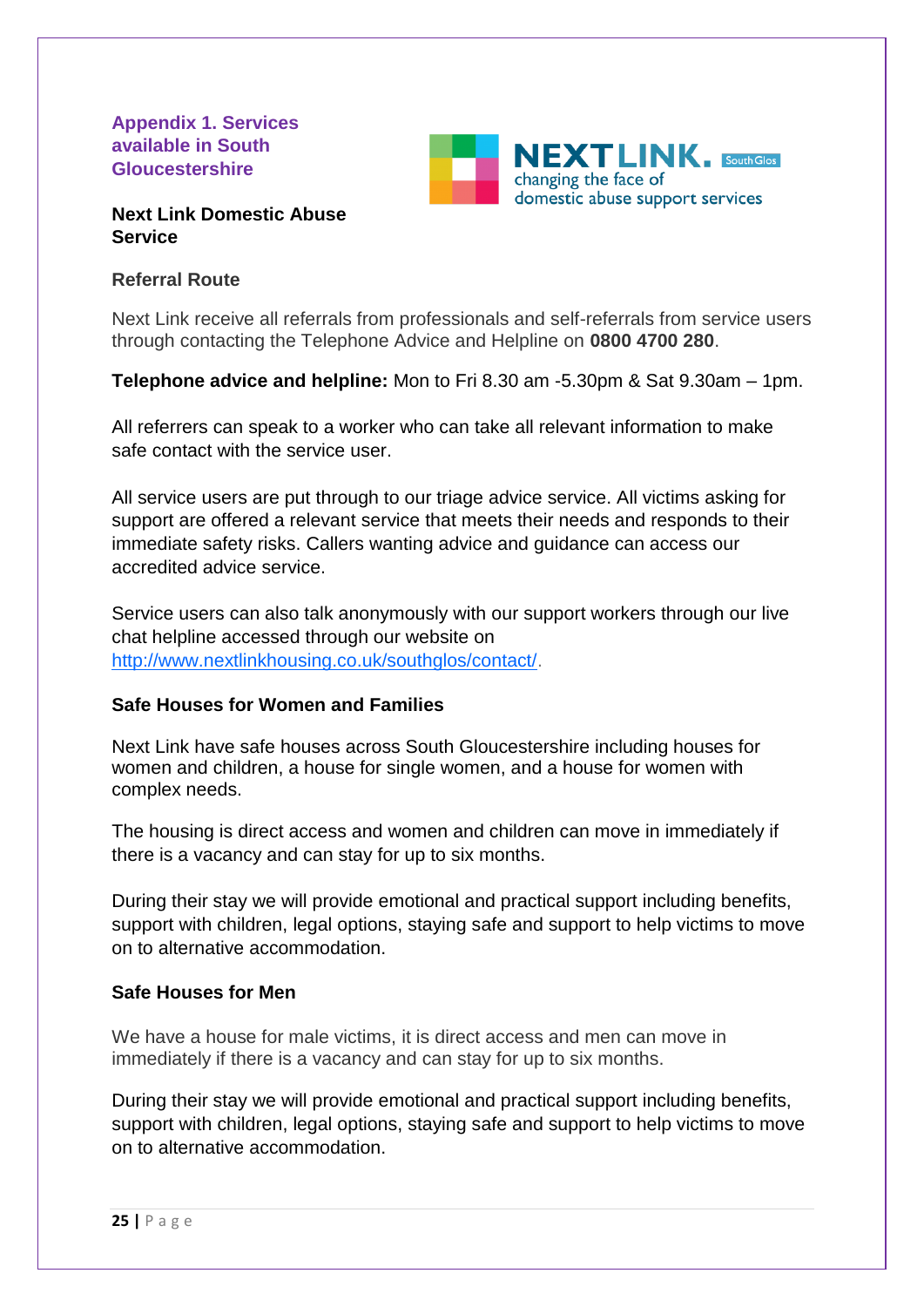**Appendix 1. Services available in South Gloucestershire**



# **Next Link Domestic Abuse Service**

# **Referral Route**

Next Link receive all referrals from professionals and self-referrals from service users through contacting the Telephone Advice and Helpline on **0800 4700 280**.

**Telephone advice and helpline:** Mon to Fri 8.30 am -5.30pm & Sat 9.30am – 1pm.

All referrers can speak to a worker who can take all relevant information to make safe contact with the service user.

All service users are put through to our triage advice service. All victims asking for support are offered a relevant service that meets their needs and responds to their immediate safety risks. Callers wanting advice and guidance can access our accredited advice service.

Service users can also talk anonymously with our support workers through our live chat helpline accessed through our website on [http://www.nextlinkhousing.co.uk/southglos/contact/.](http://www.nextlinkhousing.co.uk/southglos/contact/)

# **Safe Houses for Women and Families**

Next Link have safe houses across South Gloucestershire including houses for women and children, a house for single women, and a house for women with complex needs.

The housing is direct access and women and children can move in immediately if there is a vacancy and can stay for up to six months.

During their stay we will provide emotional and practical support including benefits, support with children, legal options, staying safe and support to help victims to move on to alternative accommodation.

# **Safe Houses for Men**

We have a house for male victims, it is direct access and men can move in immediately if there is a vacancy and can stay for up to six months.

During their stay we will provide emotional and practical support including benefits, support with children, legal options, staying safe and support to help victims to move on to alternative accommodation.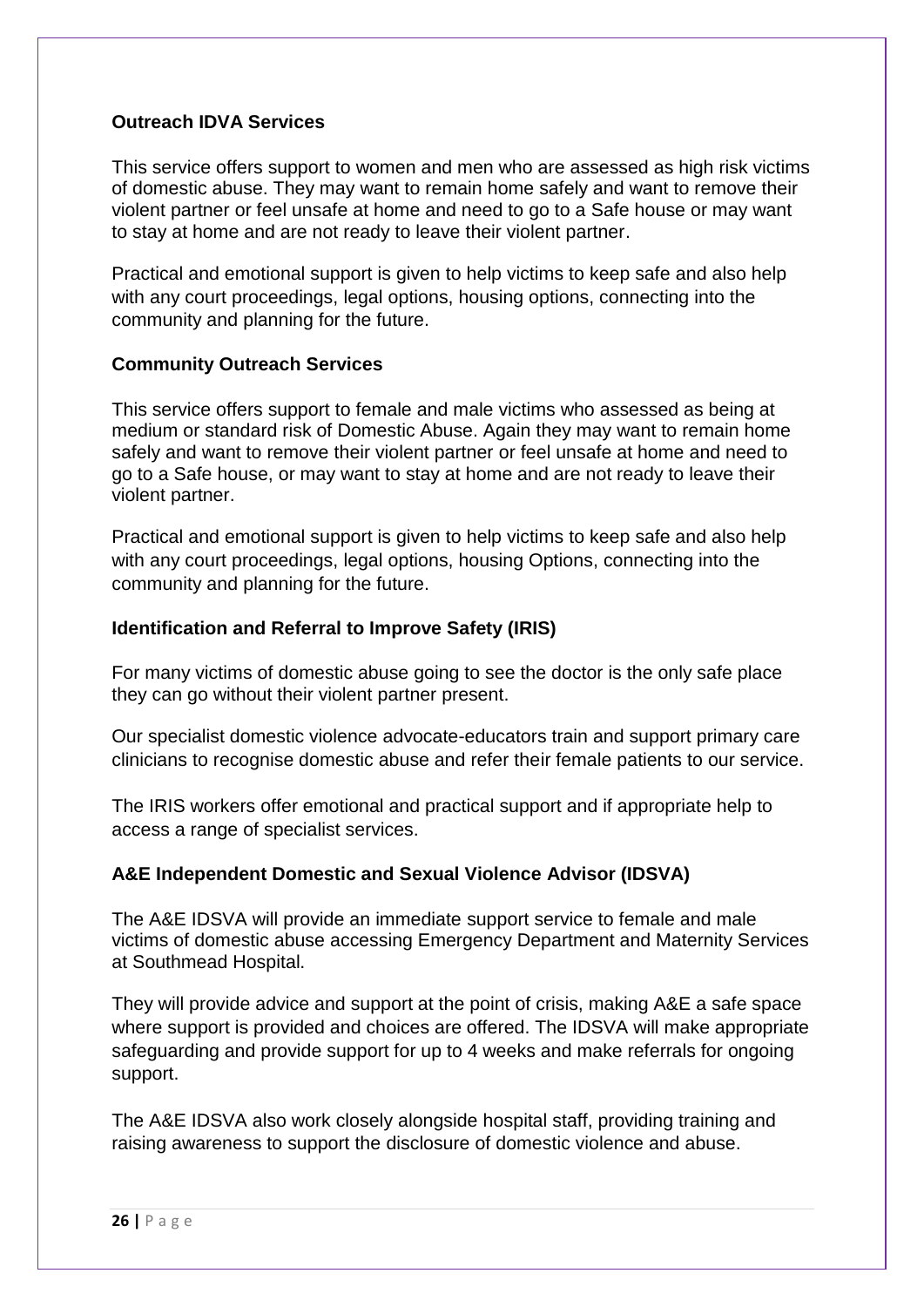# **Outreach IDVA Services**

This service offers support to women and men who are assessed as high risk victims of domestic abuse. They may want to remain home safely and want to remove their violent partner or feel unsafe at home and need to go to a Safe house or may want to stay at home and are not ready to leave their violent partner.

Practical and emotional support is given to help victims to keep safe and also help with any court proceedings, legal options, housing options, connecting into the community and planning for the future.

# **Community Outreach Services**

This service offers support to female and male victims who assessed as being at medium or standard risk of Domestic Abuse. Again they may want to remain home safely and want to remove their violent partner or feel unsafe at home and need to go to a Safe house, or may want to stay at home and are not ready to leave their violent partner.

Practical and emotional support is given to help victims to keep safe and also help with any court proceedings, legal options, housing Options, connecting into the community and planning for the future.

# **Identification and Referral to Improve Safety (IRIS)**

For many victims of domestic abuse going to see the doctor is the only safe place they can go without their violent partner present.

Our specialist domestic violence advocate-educators train and support primary care clinicians to recognise domestic abuse and refer their female patients to our service.

The IRIS workers offer emotional and practical support and if appropriate help to access a range of specialist services.

# **A&E Independent Domestic and Sexual Violence Advisor (IDSVA)**

The A&E IDSVA will provide an immediate support service to female and male victims of domestic abuse accessing Emergency Department and Maternity Services at Southmead Hospital.

They will provide advice and support at the point of crisis, making A&E a safe space where support is provided and choices are offered. The IDSVA will make appropriate safeguarding and provide support for up to 4 weeks and make referrals for ongoing support.

The A&E IDSVA also work closely alongside hospital staff, providing training and raising awareness to support the disclosure of domestic violence and abuse.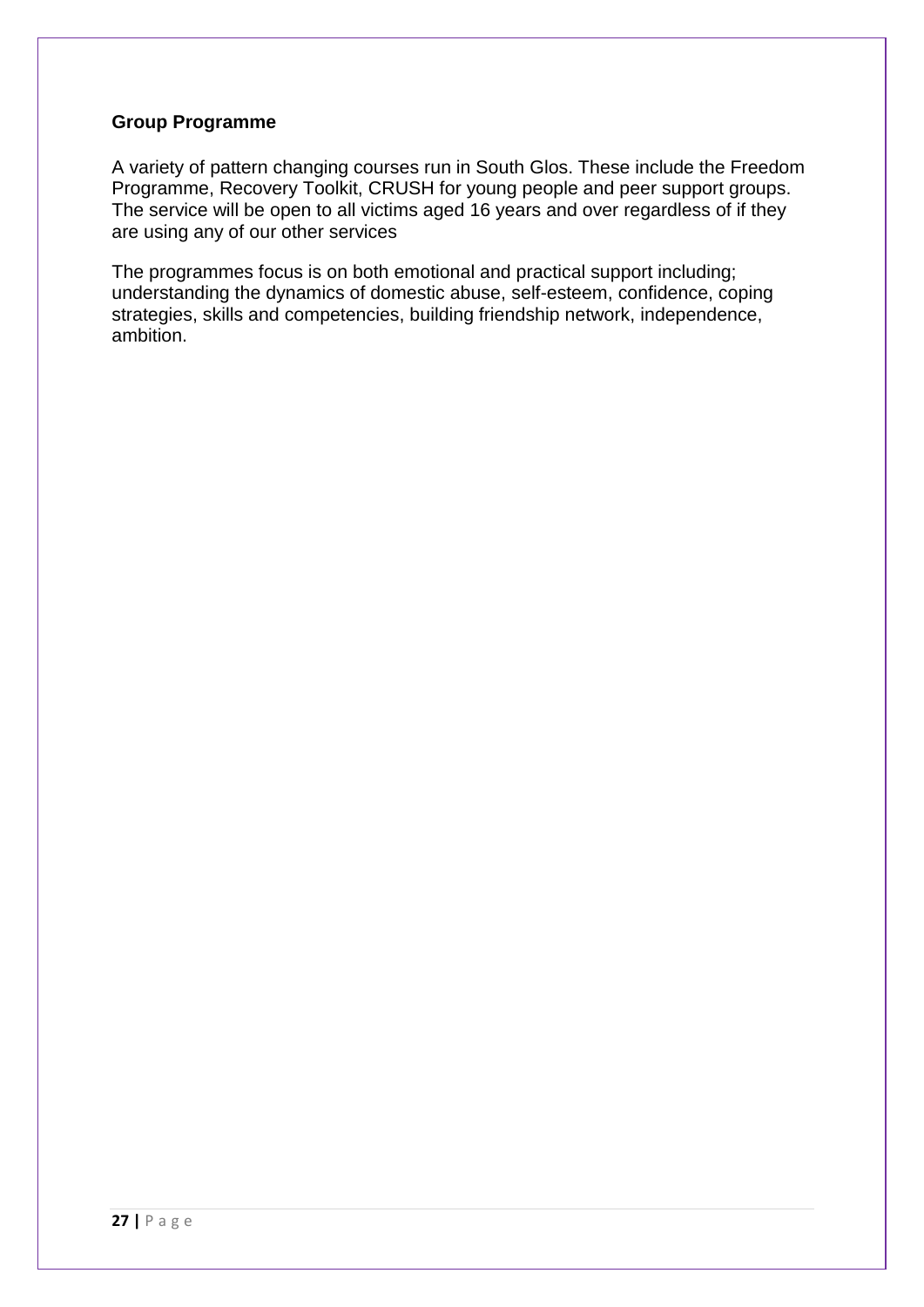#### **Group Programme**

A variety of pattern changing courses run in South Glos. These include the Freedom Programme, Recovery Toolkit, CRUSH for young people and peer support groups. The service will be open to all victims aged 16 years and over regardless of if they are using any of our other services

The programmes focus is on both emotional and practical support including; understanding the dynamics of domestic abuse, self-esteem, confidence, coping strategies, skills and competencies, building friendship network, independence, ambition.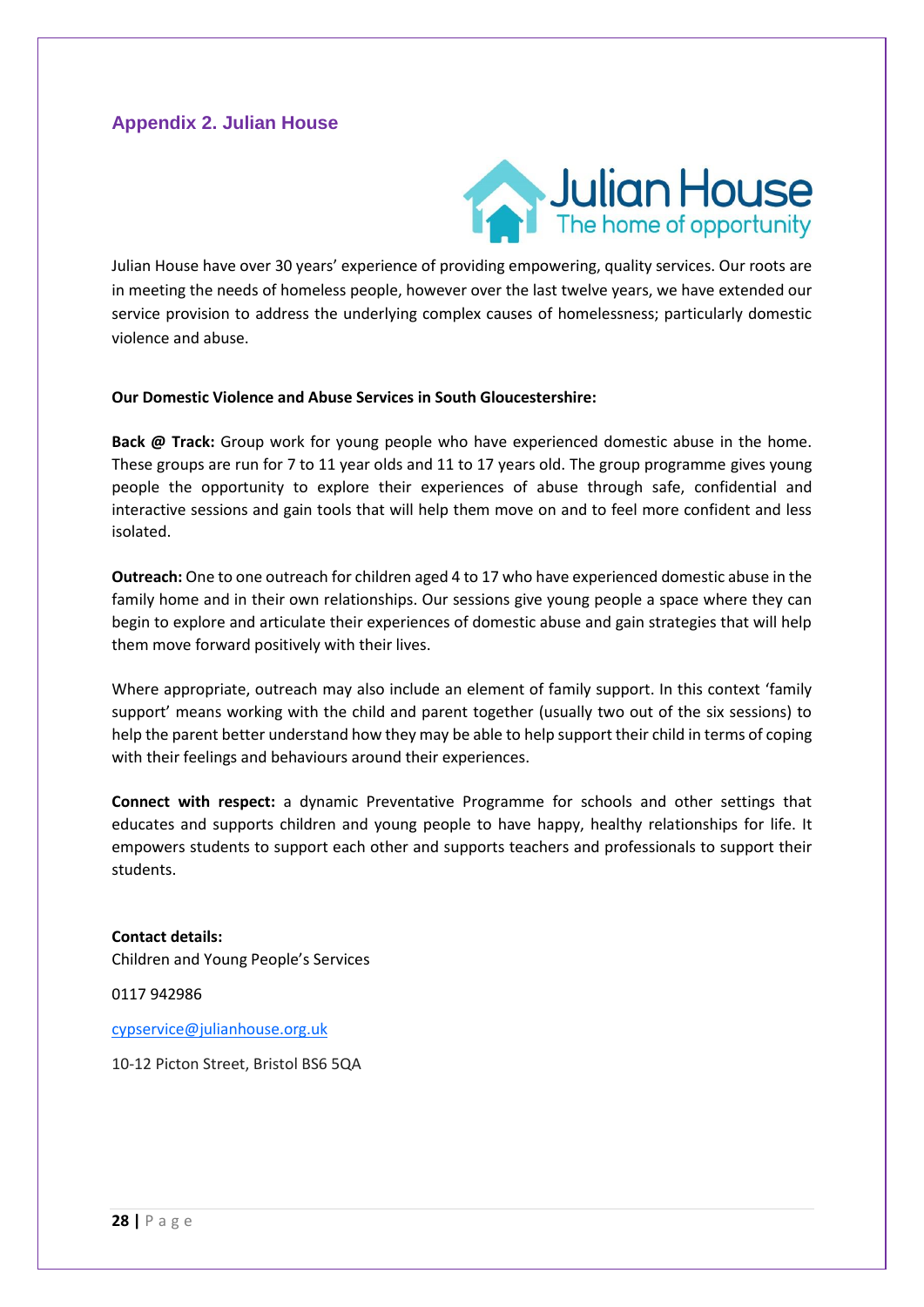# **Appendix 2. Julian House**



Julian House have over 30 years' experience of providing empowering, quality services. Our roots are in meeting the needs of homeless people, however over the last twelve years, we have extended our service provision to address the underlying complex causes of homelessness; particularly domestic violence and abuse.

#### **Our Domestic Violence and Abuse Services in South Gloucestershire:**

**Back @ Track:** Group work for young people who have experienced domestic abuse in the home. These groups are run for 7 to 11 year olds and 11 to 17 years old. The group programme gives young people the opportunity to explore their experiences of abuse through safe, confidential and interactive sessions and gain tools that will help them move on and to feel more confident and less isolated.

**Outreach:** One to one outreach for children aged 4 to 17 who have experienced domestic abuse in the family home and in their own relationships. Our sessions give young people a space where they can begin to explore and articulate their experiences of domestic abuse and gain strategies that will help them move forward positively with their lives.

Where appropriate, outreach may also include an element of family support. In this context 'family support' means working with the child and parent together (usually two out of the six sessions) to help the parent better understand how they may be able to help support their child in terms of coping with their feelings and behaviours around their experiences.

**Connect with respect:** a dynamic Preventative Programme for schools and other settings that educates and supports children and young people to have happy, healthy relationships for life. It empowers students to support each other and supports teachers and professionals to support their students.

**Contact details:** Children and Young People's Services

0117 942986

[cypservice@julianhouse.org.uk](mailto:cypservice@julianhouse.org.uk)

10-12 Picton Street, Bristol BS6 5QA